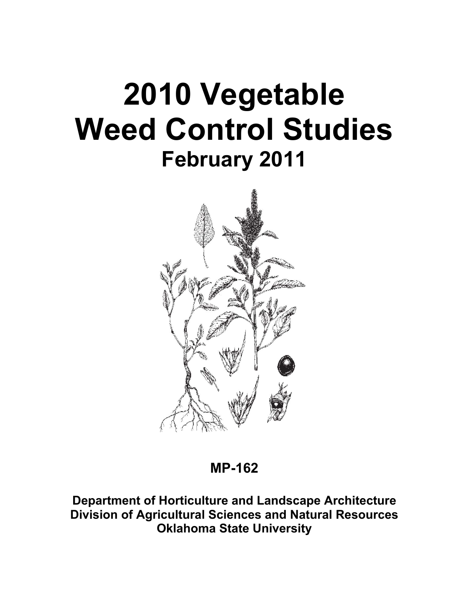# **2010 Vegetable Weed Control Studies February 2011**



**MP-162** 

**Department of Horticulture and Landscape Architecture Division of Agricultural Sciences and Natural Resources Oklahoma State University**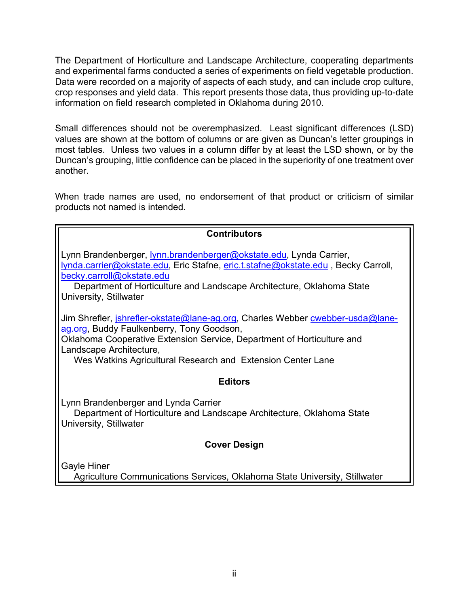The Department of Horticulture and Landscape Architecture, cooperating departments and experimental farms conducted a series of experiments on field vegetable production. Data were recorded on a majority of aspects of each study, and can include crop culture, crop responses and yield data. This report presents those data, thus providing up-to-date information on field research completed in Oklahoma during 2010.

Small differences should not be overemphasized. Least significant differences (LSD) values are shown at the bottom of columns or are given as Duncan's letter groupings in most tables. Unless two values in a column differ by at least the LSD shown, or by the Duncan's grouping, little confidence can be placed in the superiority of one treatment over another.

When trade names are used, no endorsement of that product or criticism of similar products not named is intended.

| <b>Contributors</b>                                                                                                                                                                                                                                                                             |
|-------------------------------------------------------------------------------------------------------------------------------------------------------------------------------------------------------------------------------------------------------------------------------------------------|
| Lynn Brandenberger, <u>lynn.brandenberger@okstate.edu</u> , Lynda Carrier,<br>lynda.carrier@okstate.edu, Eric Stafne, eric.t.stafne@okstate.edu, Becky Carroll,<br>becky.carroll@okstate.edu<br>Department of Horticulture and Landscape Architecture, Oklahoma State<br>University, Stillwater |
| Jim Shrefler, jshrefler-okstate@lane-ag.org, Charles Webber cwebber-usda@lane-<br>ag.org, Buddy Faulkenberry, Tony Goodson,<br>Oklahoma Cooperative Extension Service, Department of Horticulture and<br>Landscape Architecture,<br>Wes Watkins Agricultural Research and Extension Center Lane |
| <b>Editors</b>                                                                                                                                                                                                                                                                                  |
| Lynn Brandenberger and Lynda Carrier<br>Department of Horticulture and Landscape Architecture, Oklahoma State<br>University, Stillwater                                                                                                                                                         |
| <b>Cover Design</b>                                                                                                                                                                                                                                                                             |

Gayle Hiner

Agriculture Communications Services, Oklahoma State University, Stillwater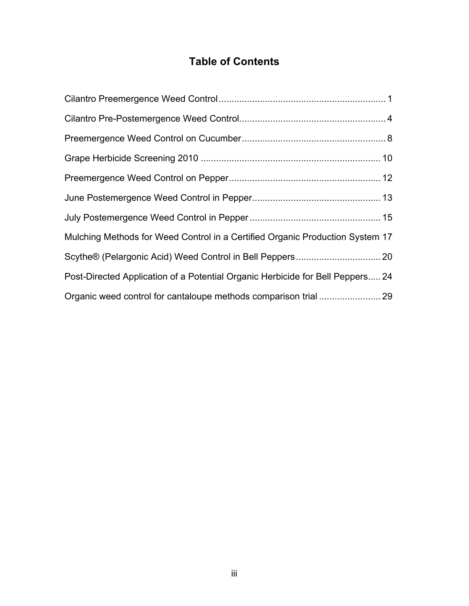### **Table of Contents**

| Mulching Methods for Weed Control in a Certified Organic Production System 17  |
|--------------------------------------------------------------------------------|
|                                                                                |
| Post-Directed Application of a Potential Organic Herbicide for Bell Peppers 24 |
|                                                                                |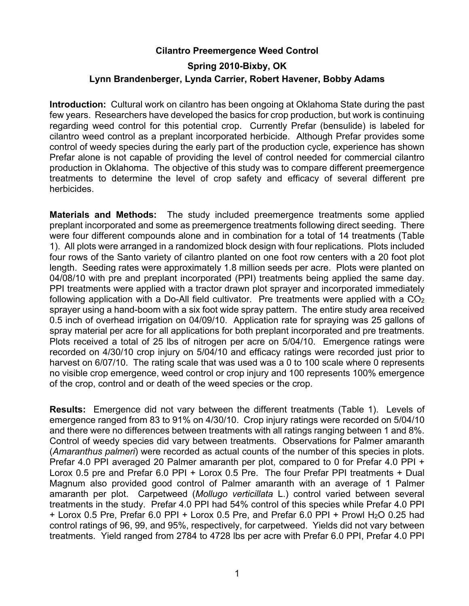#### **Cilantro Preemergence Weed Control**

#### <span id="page-3-0"></span>**Spring 2010-Bixby, OK Lynn Brandenberger, Lynda Carrier, Robert Havener, Bobby Adams**

**Introduction:** Cultural work on cilantro has been ongoing at Oklahoma State during the past few years. Researchers have developed the basics for crop production, but work is continuing regarding weed control for this potential crop. Currently Prefar (bensulide) is labeled for cilantro weed control as a preplant incorporated herbicide. Although Prefar provides some control of weedy species during the early part of the production cycle, experience has shown Prefar alone is not capable of providing the level of control needed for commercial cilantro production in Oklahoma. The objective of this study was to compare different preemergence treatments to determine the level of crop safety and efficacy of several different pre herbicides.

**Materials and Methods:** The study included preemergence treatments some applied preplant incorporated and some as preemergence treatments following direct seeding. There were four different compounds alone and in combination for a total of 14 treatments (Table 1). All plots were arranged in a randomized block design with four replications. Plots included four rows of the Santo variety of cilantro planted on one foot row centers with a 20 foot plot length. Seeding rates were approximately 1.8 million seeds per acre. Plots were planted on 04/08/10 with pre and preplant incorporated (PPI) treatments being applied the same day. PPI treatments were applied with a tractor drawn plot sprayer and incorporated immediately following application with a Do-All field cultivator. Pre treatments were applied with a CO<sub>2</sub> sprayer using a hand-boom with a six foot wide spray pattern. The entire study area received 0.5 inch of overhead irrigation on 04/09/10. Application rate for spraying was 25 gallons of spray material per acre for all applications for both preplant incorporated and pre treatments. Plots received a total of 25 lbs of nitrogen per acre on 5/04/10. Emergence ratings were recorded on 4/30/10 crop injury on 5/04/10 and efficacy ratings were recorded just prior to harvest on 6/07/10. The rating scale that was used was a 0 to 100 scale where 0 represents no visible crop emergence, weed control or crop injury and 100 represents 100% emergence of the crop, control and or death of the weed species or the crop.

**Results:** Emergence did not vary between the different treatments (Table 1). Levels of emergence ranged from 83 to 91% on 4/30/10. Crop injury ratings were recorded on 5/04/10 and there were no differences between treatments with all ratings ranging between 1 and 8%. Control of weedy species did vary between treatments. Observations for Palmer amaranth (*Amaranthus palmeri*) were recorded as actual counts of the number of this species in plots. Prefar 4.0 PPI averaged 20 Palmer amaranth per plot, compared to 0 for Prefar 4.0 PPI + Lorox 0.5 pre and Prefar 6.0 PPI + Lorox 0.5 Pre. The four Prefar PPI treatments + Dual Magnum also provided good control of Palmer amaranth with an average of 1 Palmer amaranth per plot. Carpetweed (*Mollugo verticillata* L.) control varied between several treatments in the study. Prefar 4.0 PPI had 54% control of this species while Prefar 4.0 PPI + Lorox 0.5 Pre, Prefar 6.0 PPI + Lorox 0.5 Pre, and Prefar 6.0 PPI + Prowl H2O 0.25 had control ratings of 96, 99, and 95%, respectively, for carpetweed. Yields did not vary between treatments. Yield ranged from 2784 to 4728 lbs per acre with Prefar 6.0 PPI, Prefar 4.0 PPI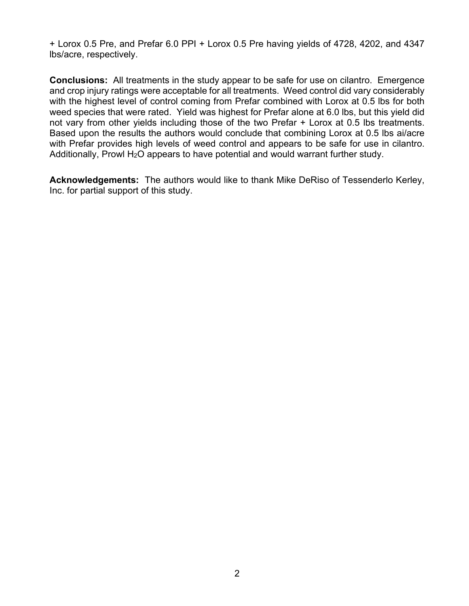+ Lorox 0.5 Pre, and Prefar 6.0 PPI + Lorox 0.5 Pre having yields of 4728, 4202, and 4347 lbs/acre, respectively.

**Conclusions:** All treatments in the study appear to be safe for use on cilantro. Emergence and crop injury ratings were acceptable for all treatments. Weed control did vary considerably with the highest level of control coming from Prefar combined with Lorox at 0.5 lbs for both weed species that were rated. Yield was highest for Prefar alone at 6.0 lbs, but this yield did not vary from other yields including those of the two Prefar + Lorox at 0.5 lbs treatments. Based upon the results the authors would conclude that combining Lorox at 0.5 lbs ai/acre with Prefar provides high levels of weed control and appears to be safe for use in cilantro. Additionally, Prowl  $H<sub>2</sub>O$  appears to have potential and would warrant further study.

**Acknowledgements:** The authors would like to thank Mike DeRiso of Tessenderlo Kerley, Inc. for partial support of this study.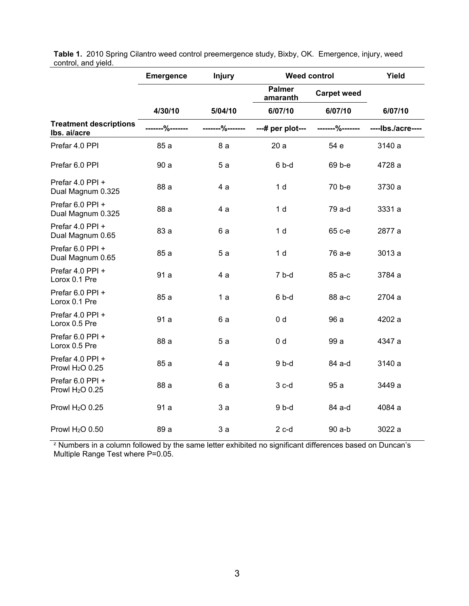|                                                 | <b>Emergence</b> | <b>Injury</b> | <b>Weed control</b>       |                    | Yield             |
|-------------------------------------------------|------------------|---------------|---------------------------|--------------------|-------------------|
|                                                 |                  |               | <b>Palmer</b><br>amaranth | <b>Carpet weed</b> |                   |
|                                                 | 4/30/10          | 5/04/10       | 6/07/10                   | 6/07/10            | 6/07/10           |
| <b>Treatment descriptions</b><br>Ibs. ai/acre   | $---9$           |               | ---# per plot---          | -------%-------    | ----lbs./acre---- |
| Prefar 4.0 PPI                                  | 85 a             | 8a            | 20a                       | 54 e               | 3140 a            |
| Prefar 6.0 PPI                                  | 90a              | 5a            | $6b-d$                    | 69 b-e             | 4728 a            |
| Prefar 4.0 PPI +<br>Dual Magnum 0.325           | 88 a             | 4 a           | 1 <sub>d</sub>            | 70 b-e             | 3730 a            |
| Prefar 6.0 PPI +<br>Dual Magnum 0.325           | 88 a             | 4 a           | 1 <sub>d</sub>            | 79 a-d             | 3331 a            |
| Prefar 4.0 PPI +<br>Dual Magnum 0.65            | 83 a             | 6a            | 1 <sub>d</sub>            | 65 с-е             | 2877 a            |
| Prefar 6.0 PPI +<br>Dual Magnum 0.65            | 85 a             | 5a            | 1 <sub>d</sub>            | 76 а-е             | 3013 a            |
| Prefar 4.0 PPI +<br>Lorox 0.1 Pre               | 91 a             | 4 a           | $7b-d$                    | 85 a-c             | 3784 a            |
| Prefar 6.0 PPI +<br>Lorox 0.1 Pre               | 85 a             | 1a            | $6b-d$                    | 88 a-c             | 2704 a            |
| Prefar 4.0 PPI +<br>Lorox 0.5 Pre               | 91 a             | 6a            | 0 <sub>d</sub>            | 96 a               | 4202 a            |
| Prefar 6.0 PPI +<br>Lorox 0.5 Pre               | 88 a             | 5a            | 0 <sub>d</sub>            | 99 a               | 4347 a            |
| Prefar 4.0 PPI +<br>Prowl H <sub>2</sub> O 0.25 | 85 a             | 4 a           | $9b-d$                    | 84 a-d             | 3140 a            |
| Prefar 6.0 PPI +<br>Prowl H <sub>2</sub> O 0.25 | 88 a             | 6a            | $3c-d$                    | 95 a               | 3449 a            |
| Prowl H <sub>2</sub> O 0.25                     | 91 a             | 3a            | $9b-d$                    | 84 a-d             | 4084 a            |
| Prowl H <sub>2</sub> O 0.50                     | 89 a             | 3a            | $2c-d$                    | 90 a-b             | 3022 a            |

**Table 1.** 2010 Spring Cilantro weed control preemergence study, Bixby, OK. Emergence, injury, weed control, and yield.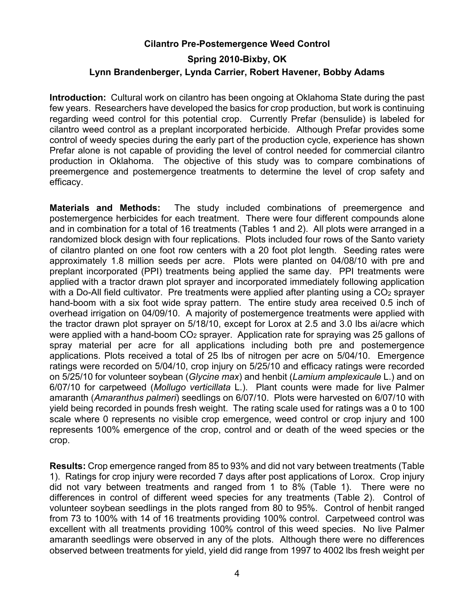#### **Cilantro Pre-Postemergence Weed Control**

#### <span id="page-6-0"></span>**Spring 2010-Bixby, OK Lynn Brandenberger, Lynda Carrier, Robert Havener, Bobby Adams**

**Introduction:** Cultural work on cilantro has been ongoing at Oklahoma State during the past few years. Researchers have developed the basics for crop production, but work is continuing regarding weed control for this potential crop. Currently Prefar (bensulide) is labeled for cilantro weed control as a preplant incorporated herbicide. Although Prefar provides some control of weedy species during the early part of the production cycle, experience has shown Prefar alone is not capable of providing the level of control needed for commercial cilantro production in Oklahoma. The objective of this study was to compare combinations of preemergence and postemergence treatments to determine the level of crop safety and efficacy.

**Materials and Methods:** The study included combinations of preemergence and postemergence herbicides for each treatment. There were four different compounds alone and in combination for a total of 16 treatments (Tables 1 and 2). All plots were arranged in a randomized block design with four replications. Plots included four rows of the Santo variety of cilantro planted on one foot row centers with a 20 foot plot length. Seeding rates were approximately 1.8 million seeds per acre. Plots were planted on 04/08/10 with pre and preplant incorporated (PPI) treatments being applied the same day. PPI treatments were applied with a tractor drawn plot sprayer and incorporated immediately following application with a Do-All field cultivator. Pre treatments were applied after planting using a  $CO<sub>2</sub>$  sprayer hand-boom with a six foot wide spray pattern. The entire study area received 0.5 inch of overhead irrigation on 04/09/10. A majority of postemergence treatments were applied with the tractor drawn plot sprayer on 5/18/10, except for Lorox at 2.5 and 3.0 lbs ai/acre which were applied with a hand-boom CO<sub>2</sub> sprayer. Application rate for spraying was 25 gallons of spray material per acre for all applications including both pre and postemergence applications. Plots received a total of 25 lbs of nitrogen per acre on 5/04/10. Emergence ratings were recorded on 5/04/10, crop injury on 5/25/10 and efficacy ratings were recorded on 5/25/10 for volunteer soybean (*Glycine max*) and henbit (*Lamium amplexicaule* L.) and on 6/07/10 for carpetweed (*Mollugo verticillata* L.). Plant counts were made for live Palmer amaranth (*Amaranthus palmeri*) seedlings on 6/07/10. Plots were harvested on 6/07/10 with yield being recorded in pounds fresh weight. The rating scale used for ratings was a 0 to 100 scale where 0 represents no visible crop emergence, weed control or crop injury and 100 represents 100% emergence of the crop, control and or death of the weed species or the crop.

**Results:** Crop emergence ranged from 85 to 93% and did not vary between treatments (Table 1). Ratings for crop injury were recorded 7 days after post applications of Lorox. Crop injury did not vary between treatments and ranged from 1 to 8% (Table 1). There were no differences in control of different weed species for any treatments (Table 2). Control of volunteer soybean seedlings in the plots ranged from 80 to 95%. Control of henbit ranged from 73 to 100% with 14 of 16 treatments providing 100% control. Carpetweed control was excellent with all treatments providing 100% control of this weed species. No live Palmer amaranth seedlings were observed in any of the plots. Although there were no differences observed between treatments for yield, yield did range from 1997 to 4002 lbs fresh weight per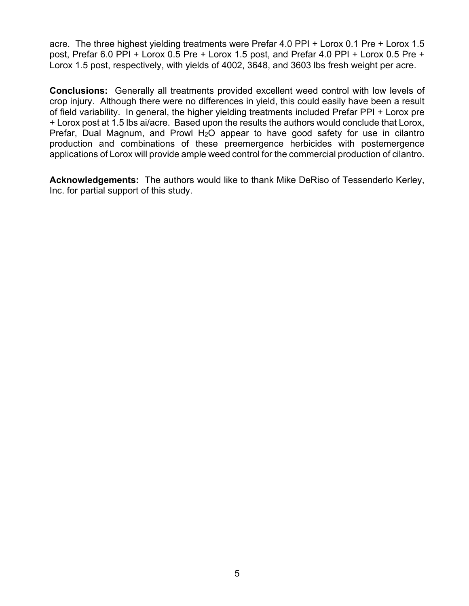acre. The three highest yielding treatments were Prefar 4.0 PPI + Lorox 0.1 Pre + Lorox 1.5 post, Prefar 6.0 PPI + Lorox 0.5 Pre + Lorox 1.5 post, and Prefar 4.0 PPI + Lorox 0.5 Pre + Lorox 1.5 post, respectively, with yields of 4002, 3648, and 3603 lbs fresh weight per acre.

**Conclusions:** Generally all treatments provided excellent weed control with low levels of crop injury. Although there were no differences in yield, this could easily have been a result of field variability. In general, the higher yielding treatments included Prefar PPI + Lorox pre + Lorox post at 1.5 lbs ai/acre. Based upon the results the authors would conclude that Lorox, Prefar, Dual Magnum, and Prowl H<sub>2</sub>O appear to have good safety for use in cilantro production and combinations of these preemergence herbicides with postemergence applications of Lorox will provide ample weed control for the commercial production of cilantro.

**Acknowledgements:** The authors would like to thank Mike DeRiso of Tessenderlo Kerley, Inc. for partial support of this study.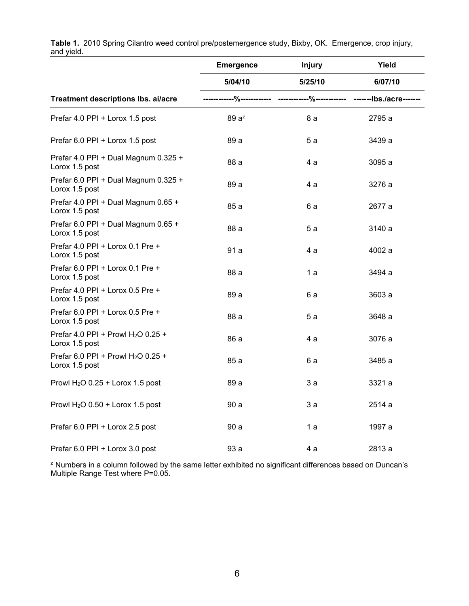|                                                                  | <b>Emergence</b>            | <b>Injury</b>               | Yield                   |
|------------------------------------------------------------------|-----------------------------|-----------------------------|-------------------------|
|                                                                  | 5/04/10                     | 5/25/10                     | 6/07/10                 |
| <b>Treatment descriptions lbs. ai/acre</b>                       | -------------%------------- | -------------%------------- | -------lbs./acre------- |
| Prefar 4.0 PPI + Lorox 1.5 post                                  | $89a^z$                     | 8 a                         | 2795 a                  |
| Prefar 6.0 PPI + Lorox 1.5 post                                  | 89 a                        | 5a                          | 3439 a                  |
| Prefar 4.0 PPI + Dual Magnum 0.325 +<br>Lorox 1.5 post           | 88 a                        | 4 a                         | 3095 a                  |
| Prefar 6.0 PPI + Dual Magnum 0.325 +<br>Lorox 1.5 post           | 89 a                        | 4 a                         | 3276 a                  |
| Prefar 4.0 PPI + Dual Magnum 0.65 +<br>Lorox 1.5 post            | 85 a                        | 6 a                         | 2677 a                  |
| Prefar 6.0 PPI + Dual Magnum 0.65 +<br>Lorox 1.5 post            | 88 a                        | 5 a                         | 3140 a                  |
| Prefar 4.0 PPI + Lorox 0.1 Pre +<br>Lorox 1.5 post               | 91 a                        | 4 a                         | 4002 a                  |
| Prefar 6.0 PPI + Lorox 0.1 Pre +<br>Lorox 1.5 post               | 88 a                        | 1 a                         | 3494 a                  |
| Prefar 4.0 PPI + Lorox 0.5 Pre +<br>Lorox 1.5 post               | 89 a                        | 6 a                         | 3603 a                  |
| Prefar 6.0 PPI + Lorox 0.5 Pre +<br>Lorox 1.5 post               | 88 a                        | 5 a                         | 3648 a                  |
| Prefar 4.0 PPI + Prowl H <sub>2</sub> O 0.25 +<br>Lorox 1.5 post | 86 a                        | 4 a                         | 3076 a                  |
| Prefar 6.0 PPI + Prowl H <sub>2</sub> O 0.25 +<br>Lorox 1.5 post | 85 a                        | 6а                          | 3485 a                  |
| Prowl $H_2O$ 0.25 + Lorox 1.5 post                               | 89 a                        | 3a                          | 3321 a                  |
| Prowl $H2O$ 0.50 + Lorox 1.5 post                                | 90 a                        | 3a                          | 2514 a                  |
| Prefar 6.0 PPI + Lorox 2.5 post                                  | 90 a                        | 1a                          | 1997 a                  |
| Prefar 6.0 PPI + Lorox 3.0 post                                  | 93 a                        | 4 a                         | 2813 a                  |

**Table 1.** 2010 Spring Cilantro weed control pre/postemergence study, Bixby, OK. Emergence, crop injury, and yield.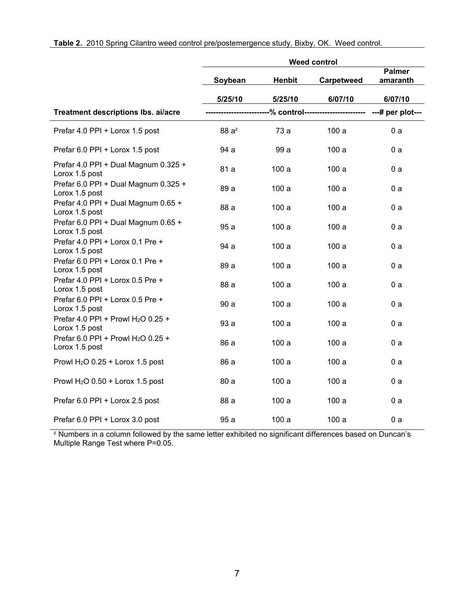|  |  |  | Table 2. 2010 Spring Cilantro weed control pre/postemergence study, Bixby, OK. Weed control. |
|--|--|--|----------------------------------------------------------------------------------------------|
|  |  |  |                                                                                              |

|                                                        | <b>Weed control</b> |               |                   |                           |  |
|--------------------------------------------------------|---------------------|---------------|-------------------|---------------------------|--|
|                                                        | Soybean             | <b>Henbit</b> | <b>Carpetweed</b> | <b>Palmer</b><br>amaranth |  |
|                                                        | 5/25/10             | 5/25/10       | 6/07/10           | 6/07/10                   |  |
| Treatment descriptions lbs. ai/acre                    |                     |               |                   | ---# per plot---          |  |
| Prefar 4.0 PPI + Lorox 1.5 post                        | $88a^z$             | 73 a          | 100a              | 0a                        |  |
| Prefar 6.0 PPI + Lorox 1.5 post                        | 94 a                | 99 a          | 100a              | 0a                        |  |
| Prefar 4.0 PPI + Dual Magnum 0.325 +<br>Lorox 1.5 post | 81 a                | 100a          | 100a              | 0a                        |  |
| Prefar 6.0 PPI + Dual Magnum 0.325 +<br>Lorox 1.5 post | 89 a                | 100a          | 100a              | 0a                        |  |
| Prefar 4.0 PPI + Dual Magnum 0.65 +<br>Lorox 1.5 post  | 88 a                | 100a          | 100a              | 0a                        |  |
| Prefar 6.0 PPI + Dual Magnum 0.65 +<br>Lorox 1.5 post  | 95 a                | 100a          | 100a              | 0a                        |  |
| Prefar 4.0 PPI + Lorox 0.1 Pre +<br>Lorox 1.5 post     | 94 a                | 100a          | 100a              | 0a                        |  |
| Prefar 6.0 PPI + Lorox 0.1 Pre +<br>Lorox 1.5 post     | 89 a                | 100a          | 100a              | 0a                        |  |
| Prefar 4.0 PPI + Lorox 0.5 Pre +<br>Lorox 1.5 post     | 88 a                | 100a          | 100a              | 0a                        |  |
| Prefar 6.0 PPI + Lorox 0.5 Pre +<br>Lorox 1.5 post     | 90 a                | 100a          | 100a              | 0 a                       |  |
| Prefar 4.0 PPI + Prowl $H_2O$ 0.25 +<br>Lorox 1.5 post | 93 a                | 100a          | 100a              | 0a                        |  |
| Prefar 6.0 PPI + Prowl $H_2O$ 0.25 +<br>Lorox 1.5 post | 86 a                | 100a          | 100a              | 0a                        |  |
| Prowl $H2O$ 0.25 + Lorox 1.5 post                      | 86 a                | 100a          | 100a              | 0a                        |  |
| Prowl H <sub>2</sub> O $0.50$ + Lorox 1.5 post         | 80 a                | 100a          | 100a              | 0 a                       |  |
| Prefar 6.0 PPI + Lorox 2.5 post                        | 88 a                | 100a          | 100a              | 0a                        |  |
| Prefar 6.0 PPI + Lorox 3.0 post                        | 95 a                | 100a          | 100a              | 0a                        |  |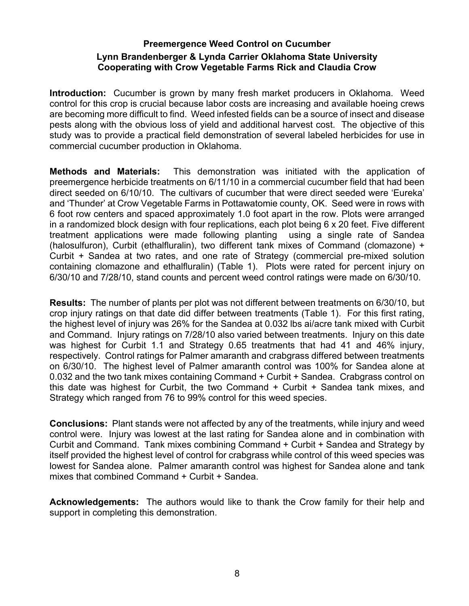#### <span id="page-10-0"></span>**Preemergence Weed Control on Cucumber Lynn Brandenberger & Lynda Carrier Oklahoma State University Cooperating with Crow Vegetable Farms Rick and Claudia Crow**

**Introduction:** Cucumber is grown by many fresh market producers in Oklahoma. Weed control for this crop is crucial because labor costs are increasing and available hoeing crews are becoming more difficult to find. Weed infested fields can be a source of insect and disease pests along with the obvious loss of yield and additional harvest cost. The objective of this study was to provide a practical field demonstration of several labeled herbicides for use in commercial cucumber production in Oklahoma.

**Methods and Materials:** This demonstration was initiated with the application of preemergence herbicide treatments on 6/11/10 in a commercial cucumber field that had been direct seeded on 6/10/10. The cultivars of cucumber that were direct seeded were 'Eureka' and 'Thunder' at Crow Vegetable Farms in Pottawatomie county, OK. Seed were in rows with 6 foot row centers and spaced approximately 1.0 foot apart in the row. Plots were arranged in a randomized block design with four replications, each plot being 6 x 20 feet. Five different treatment applications were made following planting using a single rate of Sandea (halosulfuron), Curbit (ethalfluralin), two different tank mixes of Command (clomazone) + Curbit + Sandea at two rates, and one rate of Strategy (commercial pre-mixed solution containing clomazone and ethalfluralin) (Table 1). Plots were rated for percent injury on 6/30/10 and 7/28/10, stand counts and percent weed control ratings were made on 6/30/10.

**Results:** The number of plants per plot was not different between treatments on 6/30/10, but crop injury ratings on that date did differ between treatments (Table 1). For this first rating, the highest level of injury was 26% for the Sandea at 0.032 lbs ai/acre tank mixed with Curbit and Command. Injury ratings on 7/28/10 also varied between treatments. Injury on this date was highest for Curbit 1.1 and Strategy 0.65 treatments that had 41 and 46% injury, respectively. Control ratings for Palmer amaranth and crabgrass differed between treatments on 6/30/10. The highest level of Palmer amaranth control was 100% for Sandea alone at 0.032 and the two tank mixes containing Command + Curbit + Sandea. Crabgrass control on this date was highest for Curbit, the two Command + Curbit + Sandea tank mixes, and Strategy which ranged from 76 to 99% control for this weed species.

**Conclusions:** Plant stands were not affected by any of the treatments, while injury and weed control were. Injury was lowest at the last rating for Sandea alone and in combination with Curbit and Command. Tank mixes combining Command + Curbit + Sandea and Strategy by itself provided the highest level of control for crabgrass while control of this weed species was lowest for Sandea alone. Palmer amaranth control was highest for Sandea alone and tank mixes that combined Command + Curbit + Sandea.

**Acknowledgements:** The authors would like to thank the Crow family for their help and support in completing this demonstration.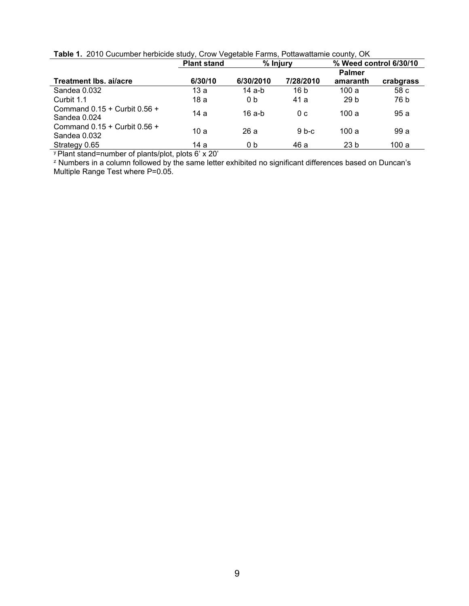| <b>Table 1.</b> 2010 Gugunber Herbigge Study, Grow Vegetable Family, Follawallamie County, ON |                    |           |                |               |                        |  |
|-----------------------------------------------------------------------------------------------|--------------------|-----------|----------------|---------------|------------------------|--|
|                                                                                               | <b>Plant stand</b> |           | % Injury       |               | % Weed control 6/30/10 |  |
|                                                                                               |                    |           |                | <b>Palmer</b> |                        |  |
| <b>Treatment lbs. ai/acre</b>                                                                 | 6/30/10            | 6/30/2010 | 7/28/2010      | amaranth      | crabgrass              |  |
| Sandea 0.032                                                                                  | 13 а               | 14 a-b    | 16 b           | 100a          | 58 c                   |  |
| Curbit 1.1                                                                                    | 18 a               | 0 h       | 41 a           | 29 h          | 76 b                   |  |
| Command $0.15 +$ Curbit $0.56 +$<br>Sandea 0.024                                              | 14 a               | 16 a-b    | 0 <sub>c</sub> | 100a          | 95a                    |  |
| Command $0.15 +$ Curbit $0.56 +$<br>Sandea 0.032                                              | 10 a               | 26 a      | $9b-c$         | 100 a         | 99a                    |  |
| Strategy 0.65                                                                                 | 14 a               | 0 b       | 46 a           | 23 b          | 100 a                  |  |

**Table 1.** 2010 Cucumber herbicide study, Crow Vegetable Farms, Pottawattamie county, OK

y Plant stand=number of plants/plot, plots 6' x 20'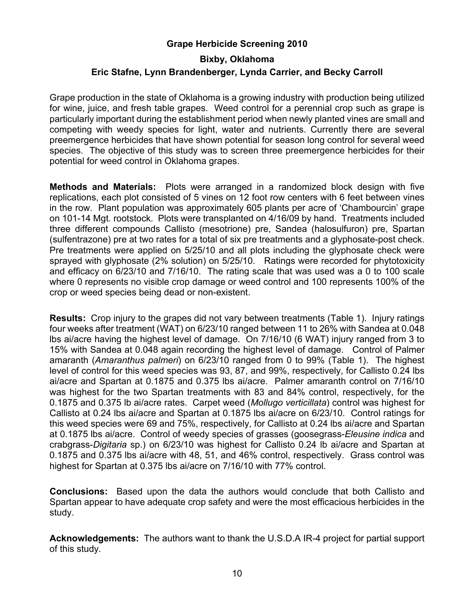#### **Grape Herbicide Screening 2010**

#### <span id="page-12-0"></span>**Bixby, Oklahoma Eric Stafne, Lynn Brandenberger, Lynda Carrier, and Becky Carroll**

Grape production in the state of Oklahoma is a growing industry with production being utilized for wine, juice, and fresh table grapes. Weed control for a perennial crop such as grape is particularly important during the establishment period when newly planted vines are small and competing with weedy species for light, water and nutrients. Currently there are several preemergence herbicides that have shown potential for season long control for several weed species. The objective of this study was to screen three preemergence herbicides for their potential for weed control in Oklahoma grapes.

**Methods and Materials:** Plots were arranged in a randomized block design with five replications, each plot consisted of 5 vines on 12 foot row centers with 6 feet between vines in the row. Plant population was approximately 605 plants per acre of 'Chambourcin' grape on 101-14 Mgt. rootstock. Plots were transplanted on 4/16/09 by hand. Treatments included three different compounds Callisto (mesotrione) pre, Sandea (halosulfuron) pre, Spartan (sulfentrazone) pre at two rates for a total of six pre treatments and a glyphosate-post check. Pre treatments were applied on 5/25/10 and all plots including the glyphosate check were sprayed with glyphosate (2% solution) on 5/25/10. Ratings were recorded for phytotoxicity and efficacy on 6/23/10 and 7/16/10. The rating scale that was used was a 0 to 100 scale where 0 represents no visible crop damage or weed control and 100 represents 100% of the crop or weed species being dead or non-existent.

**Results:** Crop injury to the grapes did not vary between treatments (Table 1). Injury ratings four weeks after treatment (WAT) on 6/23/10 ranged between 11 to 26% with Sandea at 0.048 lbs ai/acre having the highest level of damage. On 7/16/10 (6 WAT) injury ranged from 3 to 15% with Sandea at 0.048 again recording the highest level of damage. Control of Palmer amaranth (*Amaranthus palmeri*) on 6/23/10 ranged from 0 to 99% (Table 1). The highest level of control for this weed species was 93, 87, and 99%, respectively, for Callisto 0.24 lbs ai/acre and Spartan at 0.1875 and 0.375 lbs ai/acre. Palmer amaranth control on 7/16/10 was highest for the two Spartan treatments with 83 and 84% control, respectively, for the 0.1875 and 0.375 lb ai/acre rates. Carpet weed (*Mollugo verticillata*) control was highest for Callisto at 0.24 lbs ai/acre and Spartan at 0.1875 lbs ai/acre on 6/23/10. Control ratings for this weed species were 69 and 75%, respectively, for Callisto at 0.24 lbs ai/acre and Spartan at 0.1875 lbs ai/acre. Control of weedy species of grasses (goosegrass-*Eleusine indica* and crabgrass-*Digitaria* sp.) on 6/23/10 was highest for Callisto 0.24 lb ai/acre and Spartan at 0.1875 and 0.375 lbs ai/acre with 48, 51, and 46% control, respectively. Grass control was highest for Spartan at 0.375 lbs ai/acre on 7/16/10 with 77% control.

**Conclusions:** Based upon the data the authors would conclude that both Callisto and Spartan appear to have adequate crop safety and were the most efficacious herbicides in the study.

**Acknowledgements:** The authors want to thank the U.S.D.A IR-4 project for partial support of this study.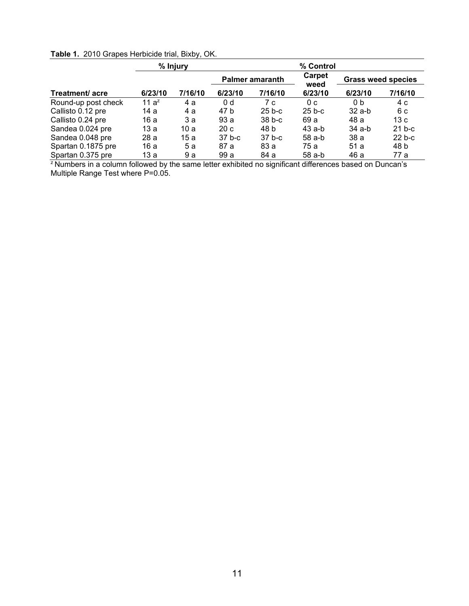|                     |          | % Injury |                |                        | % Control      |                |                           |
|---------------------|----------|----------|----------------|------------------------|----------------|----------------|---------------------------|
|                     |          |          |                | <b>Palmer amaranth</b> | Carpet<br>weed |                | <b>Grass weed species</b> |
| Treatment/acre      | 6/23/10  | 7/16/10  | 6/23/10        | 7/16/10                | 6/23/10        | 6/23/10        | 7/16/10                   |
| Round-up post check | 11 $a^z$ | 4 a      | 0 <sub>d</sub> | 7 c                    | 0 <sub>c</sub> | 0 <sub>b</sub> | 4 c                       |
| Callisto 0.12 pre   | 14 a     | 4 a      | 47 b           | $25b-c$                | $25b-c$        | $32$ a-b       | 6 c                       |
| Callisto 0.24 pre   | 16 a     | 3a       | 93a            | $38b-c$                | 69 a           | 48 a           | 13c                       |
| Sandea 0.024 pre    | 13 а     | 10 a     | 20c            | 48 b                   | $43$ a-b       | $34$ a-b       | $21 b-c$                  |
| Sandea 0.048 pre    | 28 a     | 15 a     | $37b-c$        | $37b-c$                | $58$ a-b       | 38 a           | 22 b-c                    |
| Spartan 0.1875 pre  | 16 a     | 5 a      | 87 a           | 83 a                   | 75 a           | 51 a           | 48 b                      |
| Spartan 0.375 pre   | 13 a     | 9 a      | 99 a           | 84 a                   | $58$ a-b       | 46 a           | 77 a                      |

#### **Table 1.** 2010 Grapes Herbicide trial, Bixby, OK.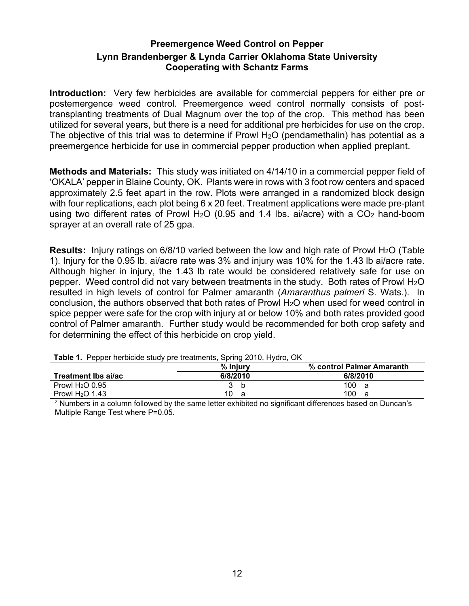#### <span id="page-14-0"></span>**Preemergence Weed Control on Pepper Lynn Brandenberger & Lynda Carrier Oklahoma State University Cooperating with Schantz Farms**

**Introduction:** Very few herbicides are available for commercial peppers for either pre or postemergence weed control. Preemergence weed control normally consists of posttransplanting treatments of Dual Magnum over the top of the crop. This method has been utilized for several years, but there is a need for additional pre herbicides for use on the crop. The objective of this trial was to determine if Prowl  $H_2O$  (pendamethalin) has potential as a preemergence herbicide for use in commercial pepper production when applied preplant.

**Methods and Materials:** This study was initiated on 4/14/10 in a commercial pepper field of 'OKALA' pepper in Blaine County, OK. Plants were in rows with 3 foot row centers and spaced approximately 2.5 feet apart in the row. Plots were arranged in a randomized block design with four replications, each plot being 6 x 20 feet. Treatment applications were made pre-plant using two different rates of Prowl H<sub>2</sub>O (0.95 and 1.4 lbs. ai/acre) with a  $CO<sub>2</sub>$  hand-boom sprayer at an overall rate of 25 gpa.

**Results:** Injury ratings on 6/8/10 varied between the low and high rate of Prowl H2O (Table 1). Injury for the 0.95 lb. ai/acre rate was 3% and injury was 10% for the 1.43 lb ai/acre rate. Although higher in injury, the 1.43 lb rate would be considered relatively safe for use on pepper. Weed control did not vary between treatments in the study. Both rates of Prowl H2O resulted in high levels of control for Palmer amaranth (*Amaranthus palmeri* S. Wats.). In conclusion, the authors observed that both rates of Prowl H2O when used for weed control in spice pepper were safe for the crop with injury at or below 10% and both rates provided good control of Palmer amaranth. Further study would be recommended for both crop safety and for determining the effect of this herbicide on crop yield.

|                     | % Injury  | % control Palmer Amaranth |
|---------------------|-----------|---------------------------|
| Treatment Ibs ai/ac | 6/8/2010  | 6/8/2010                  |
| Prowl $H2O$ 0.95    |           | 100<br>- a                |
| Prowl $H_2O$ 1.43   | 10<br>a - | 100<br>a                  |

**Table 1.** Pepper herbicide study pre treatments, Spring 2010, Hydro, OK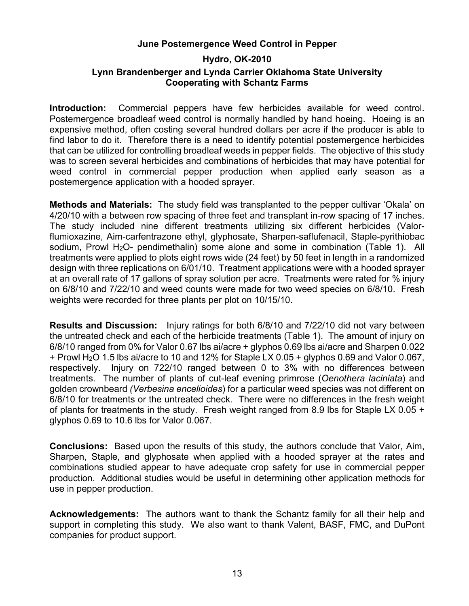#### **June Postemergence Weed Control in Pepper**

#### <span id="page-15-0"></span>**Hydro, OK-2010 Lynn Brandenberger and Lynda Carrier Oklahoma State University Cooperating with Schantz Farms**

**Introduction:** Commercial peppers have few herbicides available for weed control. Postemergence broadleaf weed control is normally handled by hand hoeing. Hoeing is an expensive method, often costing several hundred dollars per acre if the producer is able to find labor to do it. Therefore there is a need to identify potential postemergence herbicides that can be utilized for controlling broadleaf weeds in pepper fields. The objective of this study was to screen several herbicides and combinations of herbicides that may have potential for weed control in commercial pepper production when applied early season as a postemergence application with a hooded sprayer.

**Methods and Materials:** The study field was transplanted to the pepper cultivar 'Okala' on 4/20/10 with a between row spacing of three feet and transplant in-row spacing of 17 inches. The study included nine different treatments utilizing six different herbicides (Valorflumioxazine, Aim-carfentrazone ethyl, glyphosate, Sharpen-saflufenacil, Staple-pyrithiobac sodium, Prowl H2O- pendimethalin) some alone and some in combination (Table 1). All treatments were applied to plots eight rows wide (24 feet) by 50 feet in length in a randomized design with three replications on 6/01/10. Treatment applications were with a hooded sprayer at an overall rate of 17 gallons of spray solution per acre. Treatments were rated for % injury on 6/8/10 and 7/22/10 and weed counts were made for two weed species on 6/8/10. Fresh weights were recorded for three plants per plot on 10/15/10.

**Results and Discussion:** Injury ratings for both 6/8/10 and 7/22/10 did not vary between the untreated check and each of the herbicide treatments (Table 1). The amount of injury on 6/8/10 ranged from 0% for Valor 0.67 lbs ai/acre + glyphos 0.69 lbs ai/acre and Sharpen 0.022 + Prowl H2O 1.5 lbs ai/acre to 10 and 12% for Staple LX 0.05 + glyphos 0.69 and Valor 0.067, respectively. Injury on 722/10 ranged between 0 to 3% with no differences between treatments. The number of plants of cut-leaf evening primrose (*Oenothera laciniata*) and golden crownbeard *(Verbesina encelioides*) for a particular weed species was not different on 6/8/10 for treatments or the untreated check. There were no differences in the fresh weight of plants for treatments in the study. Fresh weight ranged from 8.9 lbs for Staple LX 0.05  $+$ glyphos 0.69 to 10.6 lbs for Valor 0.067.

**Conclusions:** Based upon the results of this study, the authors conclude that Valor, Aim, Sharpen, Staple, and glyphosate when applied with a hooded sprayer at the rates and combinations studied appear to have adequate crop safety for use in commercial pepper production. Additional studies would be useful in determining other application methods for use in pepper production.

**Acknowledgements:** The authors want to thank the Schantz family for all their help and support in completing this study. We also want to thank Valent, BASF, FMC, and DuPont companies for product support.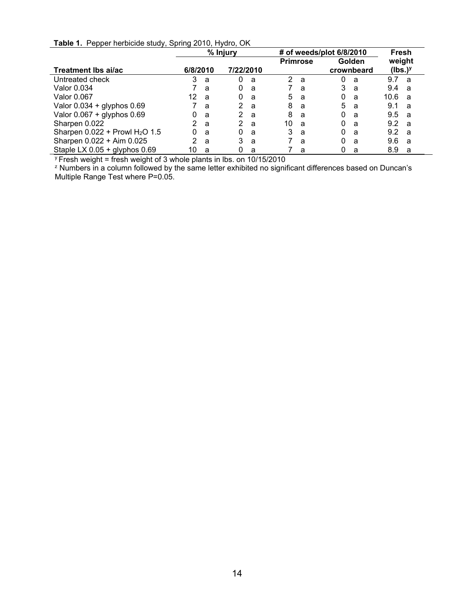|  | Table 1. Pepper herbicide study, Spring 2010, Hydro, OK |  |  |
|--|---------------------------------------------------------|--|--|
|--|---------------------------------------------------------|--|--|

|                                   |          | % Injury      | # of weeds/plot 6/8/2010 | Fresh         |            |
|-----------------------------------|----------|---------------|--------------------------|---------------|------------|
|                                   |          |               | <b>Primrose</b>          | <b>Golden</b> | weight     |
| <b>Treatment Ibs ai/ac</b>        | 6/8/2010 | 7/22/2010     |                          | crownbeard    | $(lbs.)^y$ |
| Untreated check                   | 3<br>a   | Ω<br>a        | $\overline{2}$<br>a      | 0<br>a        | 9.7<br>a   |
| Valor 0.034                       | a        | 0<br>a        | a                        | 3<br>a        | 9.4<br>a   |
| Valor 0.067                       | 12<br>a  | 0<br>a        | 5<br>a                   | 0<br>a        | 10.6<br>a  |
| Valor $0.034 +$ glyphos $0.69$    | a        | 2<br>a        | 8<br>a                   | 5<br>a        | 9.1<br>a   |
| Valor $0.067 +$ glyphos $0.69$    | 0<br>a   | 2<br>a        | 8<br>a                   | 0<br>a        | 9.5<br>a   |
| Sharpen 0.022                     | 2<br>a   | 2<br><b>a</b> | 10<br>a                  | 0<br>a        | 9.2<br>- a |
| Sharpen $0.022 +$ Prowl $H2O$ 1.5 | 0<br>a   | 0<br>a        | 3<br>a                   | 0<br>a        | 9.2<br>a   |
| Sharpen 0.022 + Aim 0.025         | 2<br>a   | 3<br>a        | a                        | 0<br>a        | 9.6<br>a   |
| Staple LX $0.05 +$ glyphos $0.69$ | 10<br>a  | a             | a                        | a             | 8.9<br>a   |

 $\rm{^y}$  Fresh weight = fresh weight of 3 whole plants in lbs. on 10/15/2010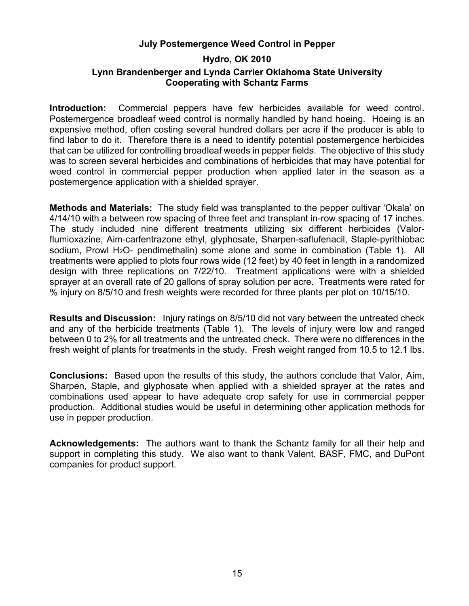#### **July Postemergence Weed Control in Pepper**

#### <span id="page-17-0"></span>**Hydro, OK 2010 Lynn Brandenberger and Lynda Carrier Oklahoma State University Cooperating with Schantz Farms**

**Introduction:** Commercial peppers have few herbicides available for weed control. Postemergence broadleaf weed control is normally handled by hand hoeing. Hoeing is an expensive method, often costing several hundred dollars per acre if the producer is able to find labor to do it. Therefore there is a need to identify potential postemergence herbicides that can be utilized for controlling broadleaf weeds in pepper fields. The objective of this study was to screen several herbicides and combinations of herbicides that may have potential for weed control in commercial pepper production when applied later in the season as a postemergence application with a shielded sprayer.

**Methods and Materials:** The study field was transplanted to the pepper cultivar 'Okala' on 4/14/10 with a between row spacing of three feet and transplant in-row spacing of 17 inches. The study included nine different treatments utilizing six different herbicides (Valorflumioxazine, Aim-carfentrazone ethyl, glyphosate, Sharpen-saflufenacil, Staple-pyrithiobac sodium, Prowl H<sub>2</sub>O- pendimethalin) some alone and some in combination (Table 1). All treatments were applied to plots four rows wide (12 feet) by 40 feet in length in a randomized design with three replications on 7/22/10. Treatment applications were with a shielded sprayer at an overall rate of 20 gallons of spray solution per acre. Treatments were rated for % injury on 8/5/10 and fresh weights were recorded for three plants per plot on 10/15/10.

**Results and Discussion:** Injury ratings on 8/5/10 did not vary between the untreated check and any of the herbicide treatments (Table 1). The levels of injury were low and ranged between 0 to 2% for all treatments and the untreated check. There were no differences in the fresh weight of plants for treatments in the study. Fresh weight ranged from 10.5 to 12.1 lbs.

**Conclusions:** Based upon the results of this study, the authors conclude that Valor, Aim, Sharpen, Staple, and glyphosate when applied with a shielded sprayer at the rates and combinations used appear to have adequate crop safety for use in commercial pepper production. Additional studies would be useful in determining other application methods for use in pepper production.

**Acknowledgements:** The authors want to thank the Schantz family for all their help and support in completing this study. We also want to thank Valent, BASF, FMC, and DuPont companies for product support.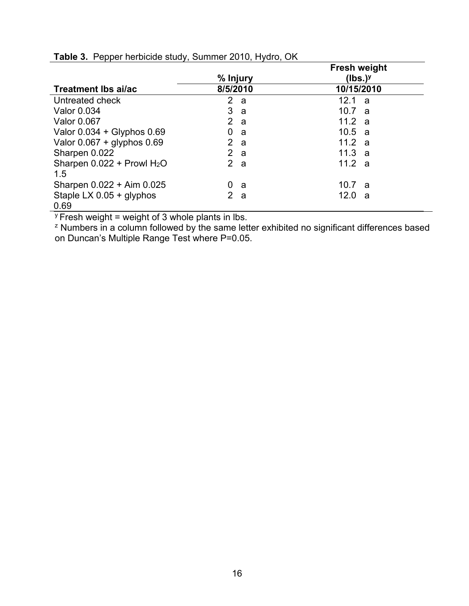|                                 |                                | <b>Fresh weight</b> |
|---------------------------------|--------------------------------|---------------------|
|                                 | % Injury                       | $(lbs.)^y$          |
| Treatment Ibs ai/ac             | 8/5/2010                       | 10/15/2010          |
| Untreated check                 | $\mathbf{2}^{\mathsf{-}}$<br>a | 12.1 a              |
| Valor 0.034                     | 3<br>a                         | 10.7 $a$            |
| Valor 0.067                     | $\overline{2}$<br>a            | 11.2 a              |
| Valor $0.034 + G$ lyphos $0.69$ | 0<br>a                         | 10.5 a              |
| Valor $0.067 +$ glyphos $0.69$  | 2 <sup>1</sup><br>a            | 11.2 a              |
| Sharpen 0.022                   | $\overline{2}$<br>a            | 11.3 a              |
| Sharpen $0.022 +$ Prowl $H2O$   | $\overline{2}$<br>a            | 11.2 a              |
| 1.5                             |                                |                     |
| Sharpen 0.022 + Aim 0.025       | 0<br>a                         | 10.7 a              |
| Staple LX $0.05 +$ glyphos      | $\mathbf{2}$<br>а              | 12.0<br>a           |
| 0.69                            |                                |                     |

|  | Table 3. Pepper herbicide study, Summer 2010, Hydro, OK |  |  |  |
|--|---------------------------------------------------------|--|--|--|
|--|---------------------------------------------------------|--|--|--|

 $y$  Fresh weight = weight of 3 whole plants in lbs.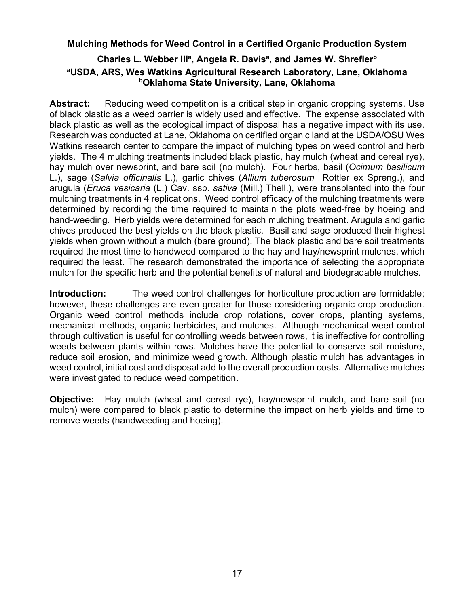#### <span id="page-19-0"></span>**Mulching Methods for Weed Control in a Certified Organic Production System**

#### Charles L. Webber III<sup>a</sup>, Angela R. Davis<sup>a</sup>, and James W. Shrefler<sup>b</sup> **aUSDA, ARS, Wes Watkins Agricultural Research Laboratory, Lane, Oklahoma bOklahoma State University, Lane, Oklahoma**

**Abstract:** Reducing weed competition is a critical step in organic cropping systems. Use of black plastic as a weed barrier is widely used and effective. The expense associated with black plastic as well as the ecological impact of disposal has a negative impact with its use. Research was conducted at Lane, Oklahoma on certified organic land at the USDA/OSU Wes Watkins research center to compare the impact of mulching types on weed control and herb yields. The 4 mulching treatments included black plastic, hay mulch (wheat and cereal rye), hay mulch over newsprint, and bare soil (no mulch). Four herbs, basil (*Ocimum basilicum* L.), sage (*Salvia officinalis* L.), garlic chives (*Allium tuberosum* Rottler ex Spreng.), and arugula (*Eruca vesicaria* (L.) Cav. ssp. *sativa* (Mill.) Thell.), were transplanted into the four mulching treatments in 4 replications. Weed control efficacy of the mulching treatments were determined by recording the time required to maintain the plots weed-free by hoeing and hand-weeding. Herb yields were determined for each mulching treatment. Arugula and garlic chives produced the best yields on the black plastic. Basil and sage produced their highest yields when grown without a mulch (bare ground). The black plastic and bare soil treatments required the most time to handweed compared to the hay and hay/newsprint mulches, which required the least. The research demonstrated the importance of selecting the appropriate mulch for the specific herb and the potential benefits of natural and biodegradable mulches.

**Introduction:** The weed control challenges for horticulture production are formidable; however, these challenges are even greater for those considering organic crop production. Organic weed control methods include crop rotations, cover crops, planting systems, mechanical methods, organic herbicides, and mulches. Although mechanical weed control through cultivation is useful for controlling weeds between rows, it is ineffective for controlling weeds between plants within rows. Mulches have the potential to conserve soil moisture, reduce soil erosion, and minimize weed growth. Although plastic mulch has advantages in weed control, initial cost and disposal add to the overall production costs. Alternative mulches were investigated to reduce weed competition.

**Objective:** Hay mulch (wheat and cereal rye), hay/newsprint mulch, and bare soil (no mulch) were compared to black plastic to determine the impact on herb yields and time to remove weeds (handweeding and hoeing).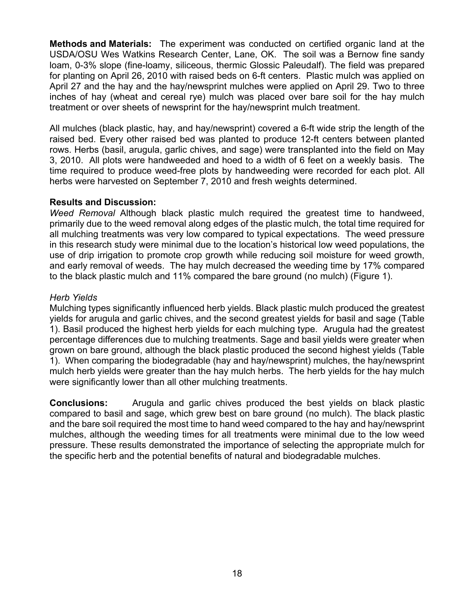**Methods and Materials:** The experiment was conducted on certified organic land at the USDA/OSU Wes Watkins Research Center, Lane, OK. The soil was a Bernow fine sandy loam, 0-3% slope (fine-loamy, siliceous, thermic Glossic Paleudalf). The field was prepared for planting on April 26, 2010 with raised beds on 6-ft centers. Plastic mulch was applied on April 27 and the hay and the hay/newsprint mulches were applied on April 29. Two to three inches of hay (wheat and cereal rye) mulch was placed over bare soil for the hay mulch treatment or over sheets of newsprint for the hay/newsprint mulch treatment.

All mulches (black plastic, hay, and hay/newsprint) covered a 6-ft wide strip the length of the raised bed. Every other raised bed was planted to produce 12-ft centers between planted rows. Herbs (basil, arugula, garlic chives, and sage) were transplanted into the field on May 3, 2010. All plots were handweeded and hoed to a width of 6 feet on a weekly basis. The time required to produce weed-free plots by handweeding were recorded for each plot. All herbs were harvested on September 7, 2010 and fresh weights determined.

#### **Results and Discussion:**

*Weed Removal* Although black plastic mulch required the greatest time to handweed, primarily due to the weed removal along edges of the plastic mulch, the total time required for all mulching treatments was very low compared to typical expectations. The weed pressure in this research study were minimal due to the location's historical low weed populations, the use of drip irrigation to promote crop growth while reducing soil moisture for weed growth, and early removal of weeds. The hay mulch decreased the weeding time by 17% compared to the black plastic mulch and 11% compared the bare ground (no mulch) (Figure 1).

#### *Herb Yields*

Mulching types significantly influenced herb yields. Black plastic mulch produced the greatest yields for arugula and garlic chives, and the second greatest yields for basil and sage (Table 1). Basil produced the highest herb yields for each mulching type. Arugula had the greatest percentage differences due to mulching treatments. Sage and basil yields were greater when grown on bare ground, although the black plastic produced the second highest yields (Table 1). When comparing the biodegradable (hay and hay/newsprint) mulches, the hay/newsprint mulch herb yields were greater than the hay mulch herbs. The herb yields for the hay mulch were significantly lower than all other mulching treatments.

**Conclusions:** Arugula and garlic chives produced the best yields on black plastic compared to basil and sage, which grew best on bare ground (no mulch). The black plastic and the bare soil required the most time to hand weed compared to the hay and hay/newsprint mulches, although the weeding times for all treatments were minimal due to the low weed pressure. These results demonstrated the importance of selecting the appropriate mulch for the specific herb and the potential benefits of natural and biodegradable mulches.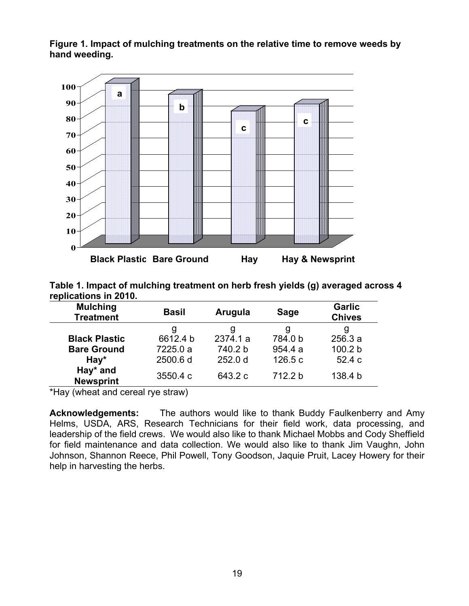**Figure 1. Impact of mulching treatments on the relative time to remove weeds by hand weeding.** 



| Table 1. Impact of mulching treatment on herb fresh yields (g) averaged across 4 |  |
|----------------------------------------------------------------------------------|--|
| replications in 2010.                                                            |  |

| <b>Mulching</b><br><b>Treatment</b> | <b>Basil</b> | Arugula  | <b>Sage</b> | <b>Garlic</b><br><b>Chives</b> |  |  |
|-------------------------------------|--------------|----------|-------------|--------------------------------|--|--|
|                                     | g            | g        | g           | g                              |  |  |
| <b>Black Plastic</b>                | 6612.4 b     | 2374.1 a | 784.0 b     | 256.3a                         |  |  |
| <b>Bare Ground</b>                  | 7225.0 a     | 740.2 b  | 954.4 a     | 100.2 b                        |  |  |
| $\mathsf{Hay}^*$                    | 2500.6 d     | 252.0 d  | 126.5c      | 52.4 c                         |  |  |
| Hay* and<br><b>Newsprint</b>        | 3550.4 c     | 643.2 c  | 712.2 b     | 138.4 b                        |  |  |

\*Hay (wheat and cereal rye straw)

**Acknowledgements:** The authors would like to thank Buddy Faulkenberry and Amy Helms, USDA, ARS, Research Technicians for their field work, data processing, and leadership of the field crews. We would also like to thank Michael Mobbs and Cody Sheffield for field maintenance and data collection. We would also like to thank Jim Vaughn, John Johnson, Shannon Reece, Phil Powell, Tony Goodson, Jaquie Pruit, Lacey Howery for their help in harvesting the herbs.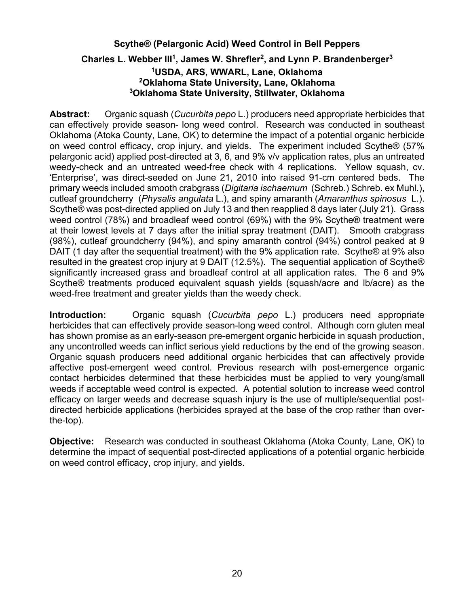#### <span id="page-22-0"></span>**Scythe® (Pelargonic Acid) Weed Control in Bell Peppers** Charles L. Webber III<sup>1</sup>, James W. Shrefler<sup>2</sup>, and Lynn P. Brandenberger<sup>3</sup> **1USDA, ARS, WWARL, Lane, Oklahoma 2Oklahoma State University, Lane, Oklahoma 3Oklahoma State University, Stillwater, Oklahoma**

**Abstract:** Organic squash (*Cucurbita pepo* L.) producers need appropriate herbicides that can effectively provide season- long weed control. Research was conducted in southeast Oklahoma (Atoka County, Lane, OK) to determine the impact of a potential organic herbicide on weed control efficacy, crop injury, and yields. The experiment included Scythe® (57% pelargonic acid) applied post-directed at 3, 6, and 9% v/v application rates, plus an untreated weedy-check and an untreated weed-free check with 4 replications. Yellow squash, cv. 'Enterprise', was direct-seeded on June 21, 2010 into raised 91-cm centered beds. The primary weeds included smooth crabgrass (*Digitaria ischaemum* (Schreb.) Schreb. ex Muhl.), cutleaf groundcherry (*Physalis angulata* L.), and spiny amaranth (*Amaranthus spinosus* L.). Scythe® was post-directed applied on July 13 and then reapplied 8 days later (July 21). Grass weed control (78%) and broadleaf weed control (69%) with the 9% Scythe® treatment were at their lowest levels at 7 days after the initial spray treatment (DAIT). Smooth crabgrass (98%), cutleaf groundcherry (94%), and spiny amaranth control (94%) control peaked at 9 DAIT (1 day after the sequential treatment) with the 9% application rate. Scythe® at 9% also resulted in the greatest crop injury at 9 DAIT (12.5%). The sequential application of Scythe® significantly increased grass and broadleaf control at all application rates. The 6 and 9% Scythe® treatments produced equivalent squash yields (squash/acre and lb/acre) as the weed-free treatment and greater yields than the weedy check.

**Introduction:** Organic squash (*Cucurbita pepo* L.) producers need appropriate herbicides that can effectively provide season-long weed control. Although corn gluten meal has shown promise as an early-season pre-emergent organic herbicide in squash production, any uncontrolled weeds can inflict serious yield reductions by the end of the growing season. Organic squash producers need additional organic herbicides that can affectively provide affective post-emergent weed control. Previous research with post-emergence organic contact herbicides determined that these herbicides must be applied to very young/small weeds if acceptable weed control is expected. A potential solution to increase weed control efficacy on larger weeds and decrease squash injury is the use of multiple/sequential postdirected herbicide applications (herbicides sprayed at the base of the crop rather than overthe-top).

**Objective:** Research was conducted in southeast Oklahoma (Atoka County, Lane, OK) to determine the impact of sequential post-directed applications of a potential organic herbicide on weed control efficacy, crop injury, and yields.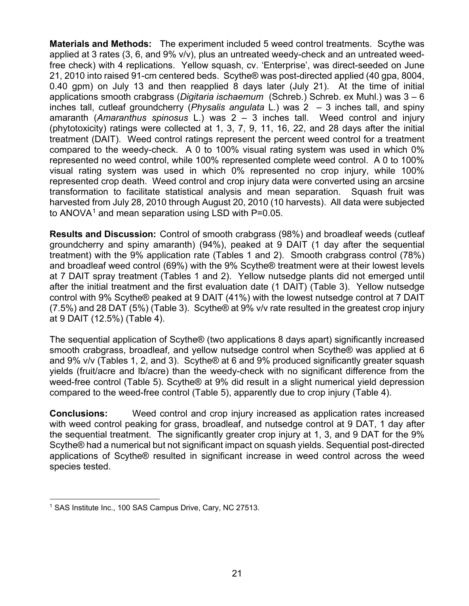**Materials and Methods:** The experiment included 5 weed control treatments. Scythe was applied at 3 rates (3, 6, and 9% v/v), plus an untreated weedy-check and an untreated weedfree check) with 4 replications. Yellow squash, cv. 'Enterprise', was direct-seeded on June 21, 2010 into raised 91-cm centered beds. Scythe® was post-directed applied (40 gpa, 8004, 0.40 gpm) on July 13 and then reapplied 8 days later (July 21). At the time of initial applications smooth crabgrass (*Digitaria ischaemum* (Schreb.) Schreb. ex Muhl.) was 3 – 6 inches tall, cutleaf groundcherry (*Physalis angulata* L.) was 2 – 3 inches tall, and spiny amaranth (*Amaranthus spinosus* L.) was 2 – 3 inches tall. Weed control and injury (phytotoxicity) ratings were collected at 1, 3, 7, 9, 11, 16, 22, and 28 days after the initial treatment (DAIT). Weed control ratings represent the percent weed control for a treatment compared to the weedy-check. A 0 to 100% visual rating system was used in which 0% represented no weed control, while 100% represented complete weed control. A 0 to 100% visual rating system was used in which 0% represented no crop injury, while 100% represented crop death. Weed control and crop injury data were converted using an arcsine transformation to facilitate statistical analysis and mean separation. Squash fruit was harvested from July 28, 2010 through August 20, 2010 (10 harvests). All data were subjected to ANOVA<sup>[1](#page-23-0)</sup> and mean separation using LSD with  $P=0.05$ .

**Results and Discussion:** Control of smooth crabgrass (98%) and broadleaf weeds (cutleaf groundcherry and spiny amaranth) (94%), peaked at 9 DAIT (1 day after the sequential treatment) with the 9% application rate (Tables 1 and 2). Smooth crabgrass control (78%) and broadleaf weed control (69%) with the 9% Scythe® treatment were at their lowest levels at 7 DAIT spray treatment (Tables 1 and 2). Yellow nutsedge plants did not emerged until after the initial treatment and the first evaluation date (1 DAIT) (Table 3). Yellow nutsedge control with 9% Scythe® peaked at 9 DAIT (41%) with the lowest nutsedge control at 7 DAIT (7.5%) and 28 DAT (5%) (Table 3). Scythe® at 9% v/v rate resulted in the greatest crop injury at 9 DAIT (12.5%) (Table 4).

The sequential application of Scythe® (two applications 8 days apart) significantly increased smooth crabgrass, broadleaf, and yellow nutsedge control when Scythe® was applied at 6 and 9% v/v (Tables 1, 2, and 3). Scythe® at 6 and 9% produced significantly greater squash yields (fruit/acre and lb/acre) than the weedy-check with no significant difference from the weed-free control (Table 5). Scythe® at 9% did result in a slight numerical yield depression compared to the weed-free control (Table 5), apparently due to crop injury (Table 4).

**Conclusions:** Weed control and crop injury increased as application rates increased with weed control peaking for grass, broadleaf, and nutsedge control at 9 DAT, 1 day after the sequential treatment. The significantly greater crop injury at 1, 3, and 9 DAT for the 9% Scythe® had a numerical but not significant impact on squash yields. Sequential post-directed applications of Scythe® resulted in significant increase in weed control across the weed species tested.

<span id="page-23-0"></span> $\overline{a}$ <sup>1</sup> SAS Institute Inc., 100 SAS Campus Drive, Cary, NC 27513.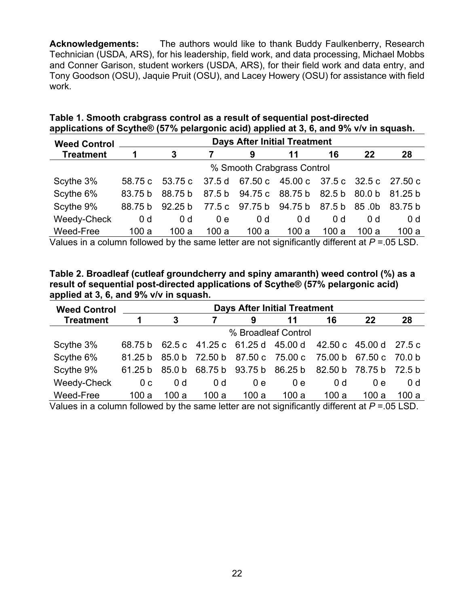**Acknowledgements:** The authors would like to thank Buddy Faulkenberry, Research Technician (USDA, ARS), for his leadership, field work, and data processing, Michael Mobbs and Conner Garison, student workers (USDA, ARS), for their field work and data entry, and Tony Goodson (OSU), Jaquie Pruit (OSU), and Lacey Howery (OSU) for assistance with field work.

| Table 1. Smooth crabgrass control as a result of sequential post-directed            |  |  |  |
|--------------------------------------------------------------------------------------|--|--|--|
| applications of Scythe® (57% pelargonic acid) applied at 3, 6, and 9% v/v in squash. |  |  |  |

| <b>Weed Control</b> | <b>Days After Initial Treatment</b> |                            |        |                |                                       |                |                |         |  |  |  |  |
|---------------------|-------------------------------------|----------------------------|--------|----------------|---------------------------------------|----------------|----------------|---------|--|--|--|--|
| <b>Treatment</b>    | 1                                   | 3                          |        | 9              | 11                                    | 16             | 22             | 28      |  |  |  |  |
|                     |                                     | % Smooth Crabgrass Control |        |                |                                       |                |                |         |  |  |  |  |
| Scythe 3%           | 58.75 c                             | 53.75 c                    | 37.5 d |                | 67.50 c 45.00 c 37.5 c 32.5 c 27.50 c |                |                |         |  |  |  |  |
| Scythe 6%           | 83.75 b                             | 88.75 b                    | 87.5 b |                | 94.75 c 88.75 b                       | 82.5 b         | 80.0 b         | 81.25 b |  |  |  |  |
| Scythe 9%           | 88.75 b                             | 92.25 <sub>b</sub>         |        | 77.5 c 97.75 b | 94.75 b                               | 87.5 b         | 85.0b          | 83.75 b |  |  |  |  |
| Weedy-Check         | 0 <sub>d</sub>                      | 0 <sub>d</sub>             | 0e     | 0 d            | 0 <sub>d</sub>                        | 0 <sub>d</sub> | 0 <sub>d</sub> | 0 d     |  |  |  |  |
| Weed-Free           | 100a                                | 100a                       | 100 a  | 100a           | 100a                                  | 100 a          | 100 a          | 100a    |  |  |  |  |

Values in a column followed by the same letter are not significantly different at *P* =.05 LSD.

**Table 2. Broadleaf (cutleaf groundcherry and spiny amaranth) weed control (%) as a result of sequential post-directed applications of Scythe® (57% pelargonic acid) applied at 3, 6, and 9% v/v in squash.**

| <b>Weed Control</b>                                                                                                                                       |                | <b>Days After Initial Treatment</b> |       |                         |                                                       |                |                        |                |  |  |  |  |  |
|-----------------------------------------------------------------------------------------------------------------------------------------------------------|----------------|-------------------------------------|-------|-------------------------|-------------------------------------------------------|----------------|------------------------|----------------|--|--|--|--|--|
| <b>Treatment</b>                                                                                                                                          |                | 3                                   |       | 9                       | 11                                                    | 16             | 22                     | 28             |  |  |  |  |  |
|                                                                                                                                                           |                | % Broadleaf Control                 |       |                         |                                                       |                |                        |                |  |  |  |  |  |
| Scythe 3%                                                                                                                                                 | 68.75 b        |                                     |       |                         | 62.5 c 41.25 c 61.25 d 45.00 d 42.50 c 45.00 d 27.5 c |                |                        |                |  |  |  |  |  |
| Scythe 6%                                                                                                                                                 | 81.25 b        | 85.0 b                              |       |                         | 72.50 b 87.50 c 75.00 c 75.00 b 67.50 c               |                |                        | 70.0 b         |  |  |  |  |  |
| Scythe 9%                                                                                                                                                 | 61.25 b        | 85.0 b                              |       | 68.75 b 93.75 b 86.25 b |                                                       |                | 82.50 b 78.75 b 72.5 b |                |  |  |  |  |  |
| Weedy-Check                                                                                                                                               | 0 <sub>c</sub> | 0 <sub>d</sub>                      | 0 d   | 0 e                     | 0e                                                    | 0 <sub>d</sub> | 0 e                    | 0 <sub>d</sub> |  |  |  |  |  |
| Weed-Free<br>$\mathcal{M}$ , the contribution of the contribution of contract and the contribution of $\mathcal{M}$ , and $\mathcal{M}$ and $\mathcal{M}$ | 100 a          | 100a                                | 100 a | 100 a                   | 100a                                                  | 100 a          | 100a                   | 100a           |  |  |  |  |  |

Values in a column followed by the same letter are not significantly different at *P* =.05 LSD.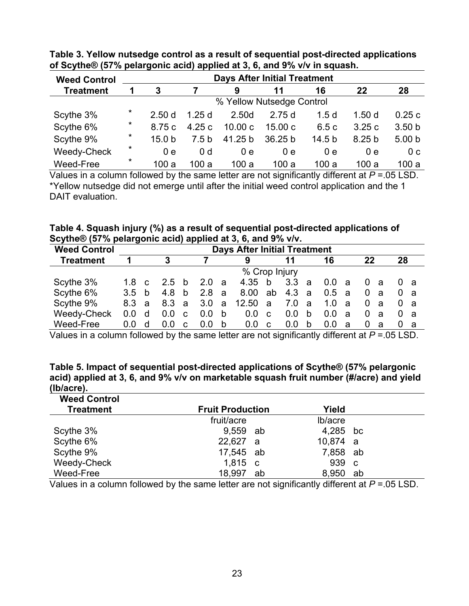| <b>Weed Control</b> |          | <b>Days After Initial Treatment</b> |                |         |         |                   |                   |                   |  |  |  |  |  |  |
|---------------------|----------|-------------------------------------|----------------|---------|---------|-------------------|-------------------|-------------------|--|--|--|--|--|--|
| <b>Treatment</b>    | 1        | 3                                   |                | 9       | 11      | 16                | 22                | 28                |  |  |  |  |  |  |
|                     |          | % Yellow Nutsedge Control           |                |         |         |                   |                   |                   |  |  |  |  |  |  |
| Scythe 3%           | $\ast$   | 2.50 <sub>d</sub>                   | 1.25d          | 2.50d   | 2.75d   | 1.5d              | 1.50d             | 0.25c             |  |  |  |  |  |  |
| Scythe 6%           | *        | 8.75 c                              | 4.25c          | 10.00c  | 15.00c  | 6.5c              | 3.25c             | 3.50 <sub>b</sub> |  |  |  |  |  |  |
| Scythe 9%           | $^\star$ | 15.0 <sub>b</sub>                   | 7.5 b          | 41.25 b | 36.25 b | 14.5 <sub>b</sub> | 8.25 <sub>b</sub> | 5.00 <sub>b</sub> |  |  |  |  |  |  |
| Weedy-Check         | *        | 0e                                  | 0 <sub>d</sub> | 0e      | 0e      | 0e                | 0e                | 0 <sub>c</sub>    |  |  |  |  |  |  |
| Weed-Free           | $^\star$ | 100a                                | 100 a          | 100a    | 100a    | 100a              | 100 a             | 100a              |  |  |  |  |  |  |

**Table 3. Yellow nutsedge control as a result of sequential post-directed applications of Scythe® (57% pelargonic acid) applied at 3, 6, and 9% v/v in squash.**

Values in a column followed by the same letter are not significantly different at *P* =.05 LSD. \*Yellow nutsedge did not emerge until after the initial weed control application and the 1 DAIT evaluation.

|  |                                                            |  | Table 4. Squash injury (%) as a result of sequential post-directed applications of |
|--|------------------------------------------------------------|--|------------------------------------------------------------------------------------|
|  | Scythe® (57% pelargonic acid) applied at 3, 6, and 9% v/v. |  |                                                                                    |

| <b>Weed Control</b> |                  | <b>Days After Initial Treatment</b> |       |                |                  |   |                  |                |        |   |       |    |                       |                 |
|---------------------|------------------|-------------------------------------|-------|----------------|------------------|---|------------------|----------------|--------|---|-------|----|-----------------------|-----------------|
| <b>Treatment</b>    |                  |                                     | 3     |                |                  |   | 9                |                | 11     |   | 16    |    | 22                    | 28              |
|                     |                  |                                     |       |                |                  |   | % Crop Injury    |                |        |   |       |    |                       |                 |
| Scythe 3%           | 1.8 c            |                                     | 2.5 b |                | 2.0              | a | 4.35 b           |                | 3.3    | a | 0.0 a |    | 0а                    | 0a              |
| Scythe 6%           | 3.5 <sub>b</sub> |                                     | 4.8 b |                | 2.8 a            |   | 8.00             |                | ab 4.3 | a | 0.5 a |    | 0 a                   | 0a              |
| Scythe 9%           | 8.3 a            |                                     | 8.3 a |                | 3.0 a            |   | 12.50            | a              | 7.0    | a | 1.0   | a, | $\Omega$<br>- a       | 0a              |
| Weedy-Check         | 0.0 <sub>1</sub> | d                                   | 0.0   | C <sub>1</sub> | $0.0\,$          | b | 0.0              | C              | 0.0    | b | 0.0   | a, | 0 a                   | 0a              |
| Weed-Free           | 0.0              | d                                   | 0.0   | C <sub>c</sub> | 0.0 <sub>1</sub> | b | 0.0 <sub>1</sub> | C <sub>c</sub> | 0.0    | b | 0.0   | a, | $\overline{0}$<br>- a | $\Omega$<br>- a |

Values in a column followed by the same letter are not significantly different at *P* =.05 LSD.

**Table 5. Impact of sequential post-directed applications of Scythe® (57% pelargonic acid) applied at 3, 6, and 9% v/v on marketable squash fruit number (#/acre) and yield (lb/acre).** 

| <b>Weed Control</b> |                         |    |          |    |
|---------------------|-------------------------|----|----------|----|
| <b>Treatment</b>    | <b>Fruit Production</b> |    | Yield    |    |
|                     | fruit/acre              |    | lb/acre  |    |
| Scythe 3%           | 9,559 ab                |    | 4,285 bc |    |
| Scythe 6%           | 22,627 a                |    | 10,874 a |    |
| Scythe 9%           | 17,545 ab               |    | 7,858 ab |    |
| Weedy-Check         | $1,815$ c               |    | 939 c    |    |
| Weed-Free           | 18,997                  | ab | 8,950    | ab |

Values in a column followed by the same letter are not significantly different at *P* =.05 LSD.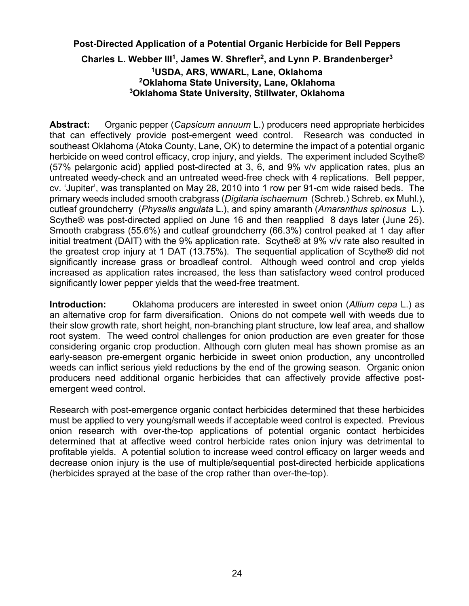#### <span id="page-26-0"></span>**Post-Directed Application of a Potential Organic Herbicide for Bell Peppers**

Charles L. Webber III<sup>1</sup>, James W. Shrefler<sup>2</sup>, and Lynn P. Brandenberger<sup>3</sup> **1USDA, ARS, WWARL, Lane, Oklahoma 2Oklahoma State University, Lane, Oklahoma 3Oklahoma State University, Stillwater, Oklahoma**

**Abstract:** Organic pepper (*Capsicum annuum* L.) producers need appropriate herbicides that can effectively provide post-emergent weed control. Research was conducted in southeast Oklahoma (Atoka County, Lane, OK) to determine the impact of a potential organic herbicide on weed control efficacy, crop injury, and yields. The experiment included Scythe® (57% pelargonic acid) applied post-directed at 3, 6, and 9% v/v application rates, plus an untreated weedy-check and an untreated weed-free check with 4 replications. Bell pepper, cv. 'Jupiter', was transplanted on May 28, 2010 into 1 row per 91-cm wide raised beds. The primary weeds included smooth crabgrass (*Digitaria ischaemum* (Schreb.) Schreb. ex Muhl.), cutleaf groundcherry (*Physalis angulata* L.), and spiny amaranth (*Amaranthus spinosus* L.). Scythe® was post-directed applied on June 16 and then reapplied 8 days later (June 25). Smooth crabgrass (55.6%) and cutleaf groundcherry (66.3%) control peaked at 1 day after initial treatment (DAIT) with the 9% application rate. Scythe® at 9% v/v rate also resulted in the greatest crop injury at 1 DAT (13.75%). The sequential application of Scythe® did not significantly increase grass or broadleaf control. Although weed control and crop yields increased as application rates increased, the less than satisfactory weed control produced significantly lower pepper yields that the weed-free treatment.

**Introduction:** Oklahoma producers are interested in sweet onion (*Allium cepa* L.) as an alternative crop for farm diversification. Onions do not compete well with weeds due to their slow growth rate, short height, non-branching plant structure, low leaf area, and shallow root system. The weed control challenges for onion production are even greater for those considering organic crop production. Although corn gluten meal has shown promise as an early-season pre-emergent organic herbicide in sweet onion production, any uncontrolled weeds can inflict serious yield reductions by the end of the growing season. Organic onion producers need additional organic herbicides that can affectively provide affective postemergent weed control.

Research with post-emergence organic contact herbicides determined that these herbicides must be applied to very young/small weeds if acceptable weed control is expected. Previous onion research with over-the-top applications of potential organic contact herbicides determined that at affective weed control herbicide rates onion injury was detrimental to profitable yields. A potential solution to increase weed control efficacy on larger weeds and decrease onion injury is the use of multiple/sequential post-directed herbicide applications (herbicides sprayed at the base of the crop rather than over-the-top).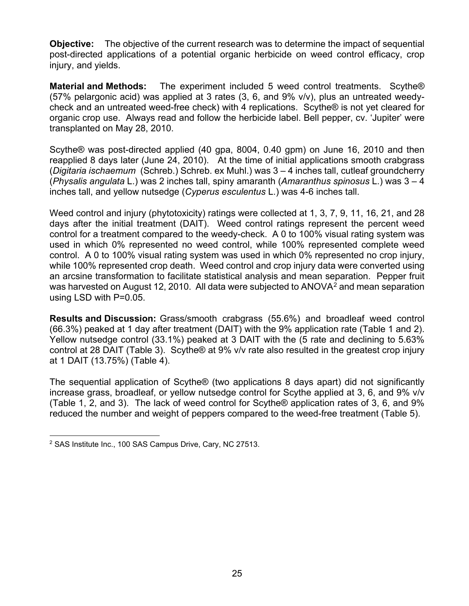**Objective:** The objective of the current research was to determine the impact of sequential post-directed applications of a potential organic herbicide on weed control efficacy, crop injury, and yields.

**Material and Methods:** The experiment included 5 weed control treatments. Scythe® (57% pelargonic acid) was applied at 3 rates (3, 6, and 9% v/v), plus an untreated weedycheck and an untreated weed-free check) with 4 replications. Scythe® is not yet cleared for organic crop use. Always read and follow the herbicide label. Bell pepper, cv. 'Jupiter' were transplanted on May 28, 2010.

Scythe® was post-directed applied (40 gpa, 8004, 0.40 gpm) on June 16, 2010 and then reapplied 8 days later (June 24, 2010). At the time of initial applications smooth crabgrass (*Digitaria ischaemum* (Schreb.) Schreb. ex Muhl.) was 3 – 4 inches tall, cutleaf groundcherry (*Physalis angulata* L.) was 2 inches tall, spiny amaranth (*Amaranthus spinosus* L.) was 3 – 4 inches tall, and yellow nutsedge (*Cyperus esculentus* L.) was 4-6 inches tall.

Weed control and injury (phytotoxicity) ratings were collected at 1, 3, 7, 9, 11, 16, 21, and 28 days after the initial treatment (DAIT). Weed control ratings represent the percent weed control for a treatment compared to the weedy-check. A 0 to 100% visual rating system was used in which 0% represented no weed control, while 100% represented complete weed control. A 0 to 100% visual rating system was used in which 0% represented no crop injury, while 100% represented crop death. Weed control and crop injury data were converted using an arcsine transformation to facilitate statistical analysis and mean separation. Pepper fruit was harvested on August 1[2](#page-27-0), 2010. All data were subjected to ANOVA<sup>2</sup> and mean separation using LSD with P=0.05.

**Results and Discussion:** Grass/smooth crabgrass (55.6%) and broadleaf weed control (66.3%) peaked at 1 day after treatment (DAIT) with the 9% application rate (Table 1 and 2). Yellow nutsedge control (33.1%) peaked at 3 DAIT with the (5 rate and declining to 5.63% control at 28 DAIT (Table 3). Scythe® at 9% v/v rate also resulted in the greatest crop injury at 1 DAIT (13.75%) (Table 4).

The sequential application of Scythe® (two applications 8 days apart) did not significantly increase grass, broadleaf, or yellow nutsedge control for Scythe applied at 3, 6, and 9% v/v (Table 1, 2, and 3). The lack of weed control for Scythe® application rates of 3, 6, and 9% reduced the number and weight of peppers compared to the weed-free treatment (Table 5).

<span id="page-27-0"></span> $\overline{a}$ <sup>2</sup> SAS Institute Inc., 100 SAS Campus Drive, Cary, NC 27513.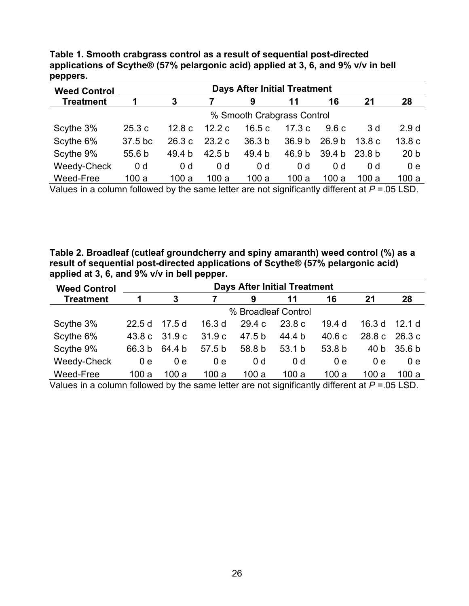| <b>Weed Control</b> |                   | <b>Days After Initial Treatment</b> |                |                            |                   |                   |                   |                  |  |  |  |  |
|---------------------|-------------------|-------------------------------------|----------------|----------------------------|-------------------|-------------------|-------------------|------------------|--|--|--|--|
| <b>Treatment</b>    |                   | 3                                   |                | 9                          | 11                | 16                | 21                | 28               |  |  |  |  |
|                     |                   |                                     |                | % Smooth Crabgrass Control |                   |                   |                   |                  |  |  |  |  |
| Scythe 3%           | 25.3c             | 12.8c                               | 12.2c          | 16.5c                      | 17.3c             | 9.6c              | 3 d               | 2.9 <sub>d</sub> |  |  |  |  |
| Scythe 6%           | 37.5 bc           | 26.3c                               | 23.2c          | 36.3 <sub>b</sub>          | 36.9 <sub>b</sub> | 26.9 <sub>b</sub> | 13.8c             | 13.8c            |  |  |  |  |
| Scythe 9%           | 55.6 <sub>b</sub> | 49.4 b                              | 42.5 b         | 49.4 b                     | 46.9 b            | 39.4 b            | 23.8 <sub>b</sub> | 20 <sub>b</sub>  |  |  |  |  |
| Weedy-Check         | 0 <sub>d</sub>    | 0 <sub>d</sub>                      | 0 <sub>d</sub> | 0 <sub>d</sub>             | 0 <sub>d</sub>    | 0 <sub>d</sub>    | 0 <sub>d</sub>    | 0e               |  |  |  |  |
| Weed-Free           | 100a              | 100 a                               | 100 a          | 100a                       | 100 a             | 100 a             | 100 a             | 100a             |  |  |  |  |

**Table 1. Smooth crabgrass control as a result of sequential post-directed applications of Scythe® (57% pelargonic acid) applied at 3, 6, and 9% v/v in bell peppers.**

Values in a column followed by the same letter are not significantly different at *P* =.05 LSD.

**Table 2. Broadleaf (cutleaf groundcherry and spiny amaranth) weed control (%) as a result of sequential post-directed applications of Scythe® (57% pelargonic acid) applied at 3, 6, and 9% v/v in bell pepper.**

| <b>Weed Control</b> |        | <b>Days After Initial Treatment</b> |                   |                |                |                   |        |                   |  |  |  |  |  |
|---------------------|--------|-------------------------------------|-------------------|----------------|----------------|-------------------|--------|-------------------|--|--|--|--|--|
| <b>Treatment</b>    |        | 3                                   |                   | 9              | 11             | 16                | 21     | 28                |  |  |  |  |  |
|                     |        | % Broadleaf Control                 |                   |                |                |                   |        |                   |  |  |  |  |  |
| Scythe 3%           | 22.5d  | 17.5 d                              | 16.3d             | 29.4c          | 23.8c          | 19.4 d            | 16.3 d | 12.1 d            |  |  |  |  |  |
| Scythe 6%           | 43.8 c | 31.9 c                              | 31.9c             | 47.5 b         | 44.4 b         | 40.6c             | 28.8c  | 26.3c             |  |  |  |  |  |
| Scythe 9%           | 66.3 b | 64.4 b                              | 57.5 <sub>b</sub> | 58.8 b         | 53.1 b         | 53.8 <sub>b</sub> | 40 b   | 35.6 <sub>b</sub> |  |  |  |  |  |
| Weedy-Check         | 0e     | 0e                                  | 0e                | 0 <sub>d</sub> | 0 <sub>d</sub> | 0e                | 0e     | 0e                |  |  |  |  |  |
| Weed-Free           | 100 a  | 100a                                | 100 a             | 100 a          | 100a           | 100 a             | 100a   | 100 a             |  |  |  |  |  |

Values in a column followed by the same letter are not significantly different at *P* =.05 LSD.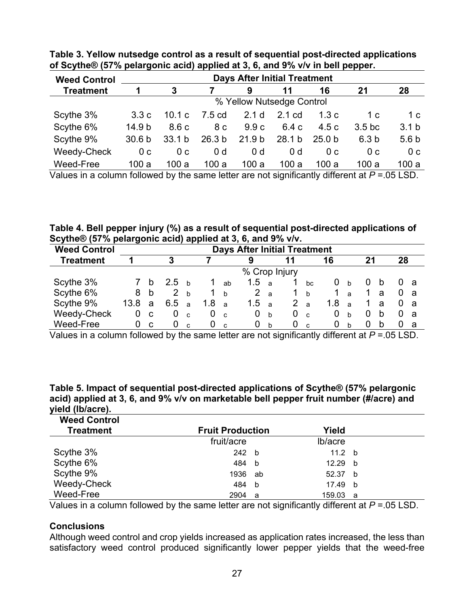| <b>Weed Control</b> | <b>Days After Initial Treatment</b> |                           |                   |                   |                |                   |                   |                  |  |  |
|---------------------|-------------------------------------|---------------------------|-------------------|-------------------|----------------|-------------------|-------------------|------------------|--|--|
| <b>Treatment</b>    |                                     | 3                         |                   |                   | 11             | 16                | 21                | 28               |  |  |
|                     |                                     | % Yellow Nutsedge Control |                   |                   |                |                   |                   |                  |  |  |
| Scythe 3%           | 3.3c                                | 10.1 $\rm c$              | 7.5 <sub>cd</sub> | 2.1 <sub>d</sub>  | 2.1 cd         | 1.3c              | 1 c               | 1 c              |  |  |
| Scythe 6%           | 14.9 <sub>b</sub>                   | 8.6c                      | 8 c               | 9.9c              | 6.4 c          | 4.5c              | 3.5 <sub>bc</sub> | 3.1 <sub>b</sub> |  |  |
| Scythe 9%           | 30.6 <sub>b</sub>                   | 33.1 <sub>b</sub>         | 26.3 <sub>b</sub> | 21.9 <sub>b</sub> | 28.1 b         | 25.0 <sub>b</sub> | 6.3 <sub>b</sub>  | 5.6 <sub>b</sub> |  |  |
| Weedy-Check         | 0 <sub>c</sub>                      | 0 <sub>c</sub>            | 0 d               | 0 d               | 0 <sub>d</sub> | 0 <sup>c</sup>    | 0 <sub>c</sub>    | 0 <sub>c</sub>   |  |  |
| Weed-Free<br>.      | 100a                                | 100 a                     | 100a              | 100a              | 100a           | 100 a<br>         | 100 a             | 100a             |  |  |

**Table 3. Yellow nutsedge control as a result of sequential post-directed applications of Scythe® (57% pelargonic acid) applied at 3, 6, and 9% v/v in bell pepper.**

Values in a column followed by the same letter are not significantly different at *P* =.05 LSD.

**Table 4. Bell pepper injury (%) as a result of sequential post-directed applications of Scythe® (57% pelargonic acid) applied at 3, 6, and 9% v/v.**

| <b>Weed Control</b> | <b>Days After Initial Treatment</b> |              |     |                |     |              |               |                |    |                |     |                |    |   |    |     |
|---------------------|-------------------------------------|--------------|-----|----------------|-----|--------------|---------------|----------------|----|----------------|-----|----------------|----|---|----|-----|
| <b>Treatment</b>    |                                     |              | 3   |                |     |              |               |                | 11 |                | 16  |                | 21 |   | 28 |     |
|                     |                                     |              |     |                |     |              | % Crop Injury |                |    |                |     |                |    |   |    |     |
| Scythe 3%           |                                     |              | 25  | h,             |     | ab           | $1.5^{\circ}$ | $\overline{a}$ |    | bc             | U   | h.             |    | b |    | - a |
| Scythe 6%           | 8                                   | b            | 2   | <sub>b</sub>   |     | b            | 2             | a a            |    | $\mathbf b$    |     | $\overline{a}$ |    | a | 0  | - a |
| Scythe 9%           | 13.8                                | a            | 6.5 | $\overline{a}$ | 1.8 | a -          | 1.5           | $\overline{a}$ | 2  | $\overline{a}$ | 1.8 | a              |    | a | O. | - a |
| Weedy-Check         | 0                                   | $\mathbf{C}$ | 0   | $\mathbf{c}$   | 0   | $\mathbf{c}$ | 0             | b              | 0  | $\mathbf{c}$   | 0   | <sub>b</sub>   | O  | b | 0. | - a |
| Weed-Free           | 0                                   | - C          | 0   | $\mathbf{c}$   | U   | $\mathbf{C}$ | 0             | h,             | 0  | $\mathbf{C}$   | 0   | <sub>b</sub>   | O  | b | Ο  | а   |

Values in a column followed by the same letter are not significantly different at *P* =.05 LSD.

**Table 5. Impact of sequential post-directed applications of Scythe® (57% pelargonic acid) applied at 3, 6, and 9% v/v on marketable bell pepper fruit number (#/acre) and yield (lb/acre).** 

| <b>Weed Control</b> |                         |                    |  |
|---------------------|-------------------------|--------------------|--|
| <b>Treatment</b>    | <b>Fruit Production</b> | Yield              |  |
|                     | fruit/acre              | lb/acre            |  |
| Scythe 3%           | 242 b                   | 11.2 $\bm{b}$      |  |
| Scythe 6%           | 484 b                   | 12.29 <sub>b</sub> |  |
| Scythe 9%           | 1936 ab                 | 52.37 b            |  |
| Weedy-Check         | 484 b                   | 17.49 b            |  |
| Weed-Free           | 2904 a                  | 159.03 a           |  |

Values in a column followed by the same letter are not significantly different at *P* =.05 LSD.

#### **Conclusions**

Although weed control and crop yields increased as application rates increased, the less than satisfactory weed control produced significantly lower pepper yields that the weed-free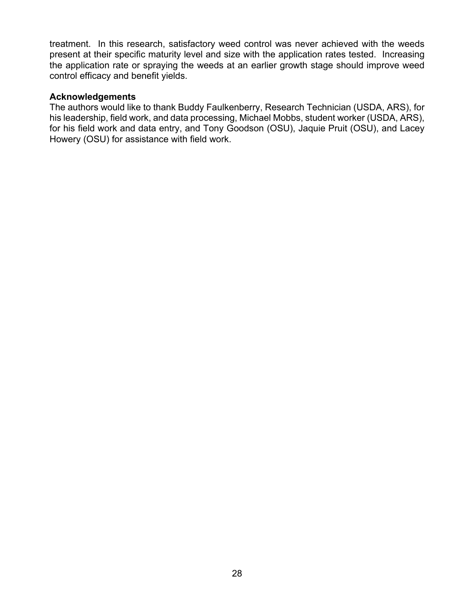treatment. In this research, satisfactory weed control was never achieved with the weeds present at their specific maturity level and size with the application rates tested. Increasing the application rate or spraying the weeds at an earlier growth stage should improve weed control efficacy and benefit yields.

#### **Acknowledgements**

The authors would like to thank Buddy Faulkenberry, Research Technician (USDA, ARS), for his leadership, field work, and data processing, Michael Mobbs, student worker (USDA, ARS), for his field work and data entry, and Tony Goodson (OSU), Jaquie Pruit (OSU), and Lacey Howery (OSU) for assistance with field work.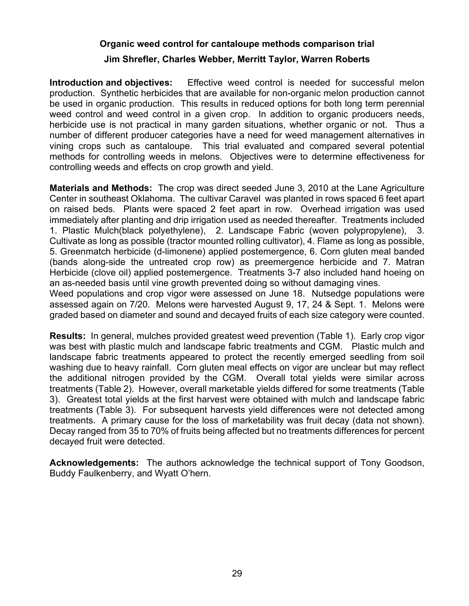#### **Organic weed control for cantaloupe methods comparison trial Jim Shrefler, Charles Webber, Merritt Taylor, Warren Roberts**

<span id="page-31-0"></span>**Introduction and objectives:** Effective weed control is needed for successful melon production. Synthetic herbicides that are available for non-organic melon production cannot be used in organic production. This results in reduced options for both long term perennial weed control and weed control in a given crop. In addition to organic producers needs, herbicide use is not practical in many garden situations, whether organic or not. Thus a number of different producer categories have a need for weed management alternatives in vining crops such as cantaloupe. This trial evaluated and compared several potential methods for controlling weeds in melons. Objectives were to determine effectiveness for controlling weeds and effects on crop growth and yield.

**Materials and Methods:** The crop was direct seeded June 3, 2010 at the Lane Agriculture Center in southeast Oklahoma. The cultivar Caravel was planted in rows spaced 6 feet apart on raised beds. Plants were spaced 2 feet apart in row. Overhead irrigation was used immediately after planting and drip irrigation used as needed thereafter. Treatments included 1. Plastic Mulch(black polyethylene), 2. Landscape Fabric (woven polypropylene), 3. Cultivate as long as possible (tractor mounted rolling cultivator), 4. Flame as long as possible, 5. Greenmatch herbicide (d-limonene) applied postemergence, 6. Corn gluten meal banded (bands along-side the untreated crop row) as preemergence herbicide and 7. Matran Herbicide (clove oil) applied postemergence. Treatments 3-7 also included hand hoeing on an as-needed basis until vine growth prevented doing so without damaging vines.

Weed populations and crop vigor were assessed on June 18. Nutsedge populations were assessed again on 7/20. Melons were harvested August 9, 17, 24 & Sept. 1. Melons were graded based on diameter and sound and decayed fruits of each size category were counted.

**Results:** In general, mulches provided greatest weed prevention (Table 1). Early crop vigor was best with plastic mulch and landscape fabric treatments and CGM. Plastic mulch and landscape fabric treatments appeared to protect the recently emerged seedling from soil washing due to heavy rainfall. Corn gluten meal effects on vigor are unclear but may reflect the additional nitrogen provided by the CGM. Overall total yields were similar across treatments (Table 2). However, overall marketable yields differed for some treatments (Table 3). Greatest total yields at the first harvest were obtained with mulch and landscape fabric treatments (Table 3). For subsequent harvests yield differences were not detected among treatments. A primary cause for the loss of marketability was fruit decay (data not shown). Decay ranged from 35 to 70% of fruits being affected but no treatments differences for percent decayed fruit were detected.

**Acknowledgements:** The authors acknowledge the technical support of Tony Goodson, Buddy Faulkenberry, and Wyatt O'hern.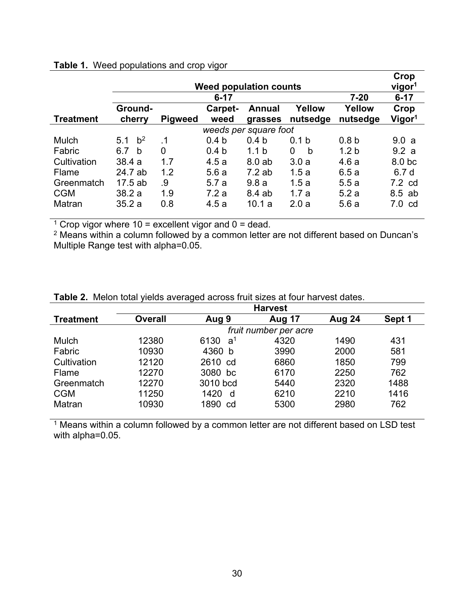|                  |                               |                |                  |                       | Crop             |                  |                    |  |
|------------------|-------------------------------|----------------|------------------|-----------------------|------------------|------------------|--------------------|--|
|                  | <b>Weed population counts</b> |                |                  |                       |                  |                  |                    |  |
|                  |                               |                | $6 - 17$         |                       |                  | $7 - 20$         | $6 - 17$           |  |
|                  | Ground-                       |                | Carpet-          | <b>Annual</b>         | Yellow           | Yellow           | Crop               |  |
| <b>Treatment</b> | cherry                        | <b>Pigweed</b> | weed             | grasses               | nutsedge         | nutsedge         | Vigor <sup>1</sup> |  |
|                  |                               |                |                  | weeds per square foot |                  |                  |                    |  |
| <b>Mulch</b>     | $b^2$<br>5.1                  | .1             | 0.4 <sub>b</sub> | 0.4 <sub>b</sub>      | 0.1 <sub>b</sub> | 0.8 <sub>b</sub> | 9.0a               |  |
| Fabric           | 6.7<br><sub>b</sub>           | 0              | 0.4 <sub>b</sub> | 1.1 <sub>b</sub>      | 0<br>b           | 1.2 <sub>b</sub> | 9.2a               |  |
| Cultivation      | 38.4a                         | 1.7            | 4.5a             | 8.0ab                 | 3.0a             | 4.6a             | 8.0 <sub>bc</sub>  |  |
| Flame            | 24.7 ab                       | 1.2            | 5.6a             | 7.2ab                 | 1.5a             | 6.5a             | 6.7 <sub>d</sub>   |  |
| Greenmatch       | 17.5ab                        | .9             | 5.7a             | 9.8a                  | 1.5a             | 5.5a             | $7.2 \text{ cd}$   |  |
| <b>CGM</b>       | 38.2a                         | 1.9            | 7.2a             | 8.4 ab                | 1.7a             | 5.2a             | $8.5$ ab           |  |
| Matran           | 35.2a                         | 0.8            | 4.5a             | 10.1a                 | 2.0a             | 5.6a             | $7.0 \text{ cd}$   |  |

#### **Table 1.** Weed populations and crop vigor

<sup>1</sup> Crop vigor where 10 = excellent vigor and  $0 =$  dead.

<sup>2</sup> Means within a column followed by a common letter are not different based on Duncan's Multiple Range test with alpha=0.05.

|                  | <b>Harvest</b> |                        |                       |        |        |  |  |  |
|------------------|----------------|------------------------|-----------------------|--------|--------|--|--|--|
| <b>Treatment</b> | <b>Overall</b> | Aug 9                  | <b>Aug 17</b>         | Aug 24 | Sept 1 |  |  |  |
|                  |                |                        | fruit number per acre |        |        |  |  |  |
| <b>Mulch</b>     | 12380          | 6130<br>a <sup>1</sup> | 4320                  | 1490   | 431    |  |  |  |
| Fabric           | 10930          | 4360 b                 | 3990                  | 2000   | 581    |  |  |  |
| Cultivation      | 12120          | 2610 cd                | 6860                  | 1850   | 799    |  |  |  |
| Flame            | 12270          | 3080 bc                | 6170                  | 2250   | 762    |  |  |  |
| Greenmatch       | 12270          | 3010 bcd               | 5440                  | 2320   | 1488   |  |  |  |
| <b>CGM</b>       | 11250          | 1420 d                 | 6210                  | 2210   | 1416   |  |  |  |
| Matran           | 10930          | 1890 cd                | 5300                  | 2980   | 762    |  |  |  |

**Table 2.** Melon total yields averaged across fruit sizes at four harvest dates.

<sup>1</sup> Means within a column followed by a common letter are not different based on LSD test with alpha=0.05.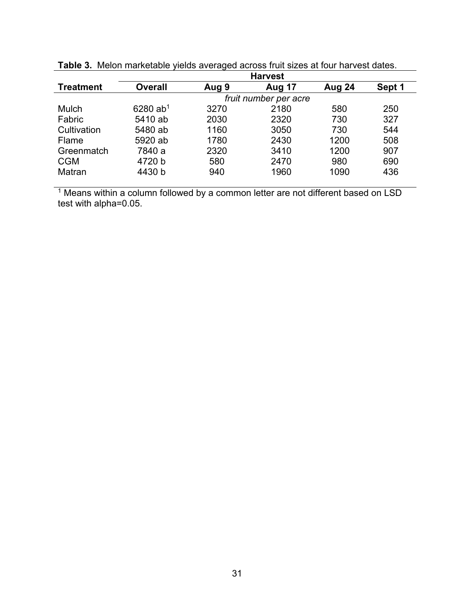|                  | <b>Harvest</b>       |       |                       |        |        |  |  |  |
|------------------|----------------------|-------|-----------------------|--------|--------|--|--|--|
| <b>Treatment</b> | <b>Overall</b>       | Aug 9 | <b>Aug 17</b>         | Aug 24 | Sept 1 |  |  |  |
|                  |                      |       | fruit number per acre |        |        |  |  |  |
| <b>Mulch</b>     | 6280 ab <sup>1</sup> | 3270  | 2180                  | 580    | 250    |  |  |  |
| Fabric           | 5410 ab              | 2030  | 2320                  | 730    | 327    |  |  |  |
| Cultivation      | 5480 ab              | 1160  | 3050                  | 730    | 544    |  |  |  |
| Flame            | 5920 ab              | 1780  | 2430                  | 1200   | 508    |  |  |  |
| Greenmatch       | 7840 a               | 2320  | 3410                  | 1200   | 907    |  |  |  |
| <b>CGM</b>       | 4720 b               | 580   | 2470                  | 980    | 690    |  |  |  |
| Matran           | 4430 b               | 940   | 1960                  | 1090   | 436    |  |  |  |
|                  |                      |       |                       |        |        |  |  |  |

 $1$  Means within a column followed by a common letter are not different based on LSD test with alpha=0.05.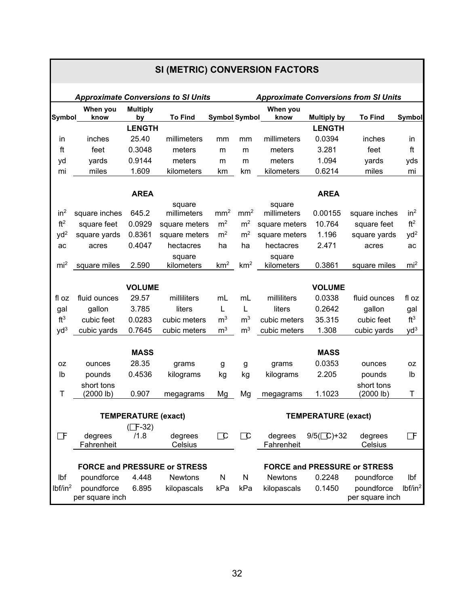| SI (METRIC) CONVERSION FACTORS |                               |                            |                                            |                      |                 |                       |                            |                                              |                     |
|--------------------------------|-------------------------------|----------------------------|--------------------------------------------|----------------------|-----------------|-----------------------|----------------------------|----------------------------------------------|---------------------|
|                                |                               |                            | <b>Approximate Conversions to SI Units</b> |                      |                 |                       |                            | <b>Approximate Conversions from SI Units</b> |                     |
| <b>Symbol</b>                  | When you<br>know              | <b>Multiply</b><br>by      | <b>To Find</b>                             | <b>Symbol Symbol</b> |                 | When you<br>know      | <b>Multiply by</b>         | <b>To Find</b>                               | <b>Symbol</b>       |
|                                |                               | <b>LENGTH</b>              |                                            |                      |                 |                       | <b>LENGTH</b>              |                                              |                     |
| in                             | inches                        | 25.40                      | millimeters                                | mm                   | mm              | millimeters           | 0.0394                     | inches                                       | in                  |
| ft                             | feet                          | 0.3048                     | meters                                     | m                    | m               | meters                | 3.281                      | feet                                         | ft                  |
| yd                             | yards                         | 0.9144                     | meters                                     | m                    | m               | meters                | 1.094                      | yards                                        | yds                 |
| mi                             | miles                         | 1.609                      | kilometers                                 | km                   | km              | kilometers            | 0.6214                     | miles                                        | mi                  |
| <b>AREA</b><br><b>AREA</b>     |                               |                            |                                            |                      |                 |                       |                            |                                              |                     |
| in <sup>2</sup>                | square inches                 | 645.2                      | square<br>millimeters                      | mm <sup>2</sup>      | mm <sup>2</sup> | square<br>millimeters | 0.00155                    | square inches                                | in <sup>2</sup>     |
| ft <sup>2</sup>                | square feet                   | 0.0929                     | square meters                              | m <sup>2</sup>       | m <sup>2</sup>  | square meters         | 10.764                     | square feet                                  | ft <sup>2</sup>     |
| $yd^2$                         | square yards                  | 0.8361                     | square meters                              | m <sup>2</sup>       | m <sup>2</sup>  | square meters         | 1.196                      | square yards                                 | $yd^2$              |
| ac                             | acres                         | 0.4047                     | hectacres                                  | ha                   | ha              | hectacres             | 2.471                      | acres                                        | ac                  |
|                                |                               |                            | square                                     |                      |                 | square                |                            |                                              |                     |
| mi <sup>2</sup>                | square miles                  | 2.590                      | kilometers                                 | km <sup>2</sup>      | km <sup>2</sup> | kilometers            | 0.3861                     | square miles                                 | mi <sup>2</sup>     |
|                                |                               |                            |                                            |                      |                 |                       |                            |                                              |                     |
|                                |                               | <b>VOLUME</b>              |                                            |                      |                 |                       | <b>VOLUME</b>              |                                              |                     |
| fl oz                          | fluid ounces                  | 29.57                      | milliliters                                | mL                   | mL              | milliliters           | 0.0338                     | fluid ounces                                 | fl oz               |
| gal                            | gallon                        | 3.785                      | liters                                     | L                    | L               | liters                | 0.2642                     | gallon                                       | gal                 |
| ft <sup>3</sup>                | cubic feet                    | 0.0283                     | cubic meters                               | m <sup>3</sup>       | m <sup>3</sup>  | cubic meters          | 35.315                     | cubic feet                                   | ft <sup>3</sup>     |
| yd <sup>3</sup>                | cubic yards                   | 0.7645                     | cubic meters                               | m <sup>3</sup>       | m <sup>3</sup>  | cubic meters          | 1.308                      | cubic yards                                  | $yd^3$              |
|                                |                               | <b>MASS</b>                |                                            |                      |                 |                       | <b>MASS</b>                |                                              |                     |
| 0Z                             | ounces                        | 28.35                      | grams                                      | g                    | g               | grams                 | 0.0353                     | ounces                                       | 0Z                  |
| lb                             | pounds                        | 0.4536                     | kilograms                                  | kg                   | kg              | kilograms             | 2.205                      | pounds                                       | Ib                  |
| T                              | short tons<br>(2000 lb)       | 0.907                      | megagrams                                  | Mg                   | Mg              | megagrams             | 1.1023                     | short tons<br>(2000 lb)                      | Τ                   |
|                                |                               |                            |                                            |                      |                 |                       |                            |                                              |                     |
|                                |                               | <b>TEMPERATURE (exact)</b> |                                            |                      |                 |                       | <b>TEMPERATURE (exact)</b> |                                              |                     |
| 日                              | degrees<br>Fahrenheit         | $(\Gamma$ -32)<br>/1.8     | degrees<br>Celsius                         | $\Box$ C             | $\Box$          | degrees<br>Fahrenheit | $9/5$ (CC)+32              | degrees<br>Celsius                           | ロ                   |
|                                |                               |                            | <b>FORCE and PRESSURE or STRESS</b>        |                      |                 |                       |                            | <b>FORCE and PRESSURE or STRESS</b>          |                     |
| Ibf                            | poundforce                    | 4.448                      | <b>Newtons</b>                             | N.                   | N               | <b>Newtons</b>        | 0.2248                     | poundforce                                   | Ibf                 |
| lbf/in <sup>2</sup>            | poundforce<br>per square inch | 6.895                      | kilopascals                                | kPa                  | kPa             | kilopascals           | 0.1450                     | poundforce<br>per square inch                | lbf/in <sup>2</sup> |